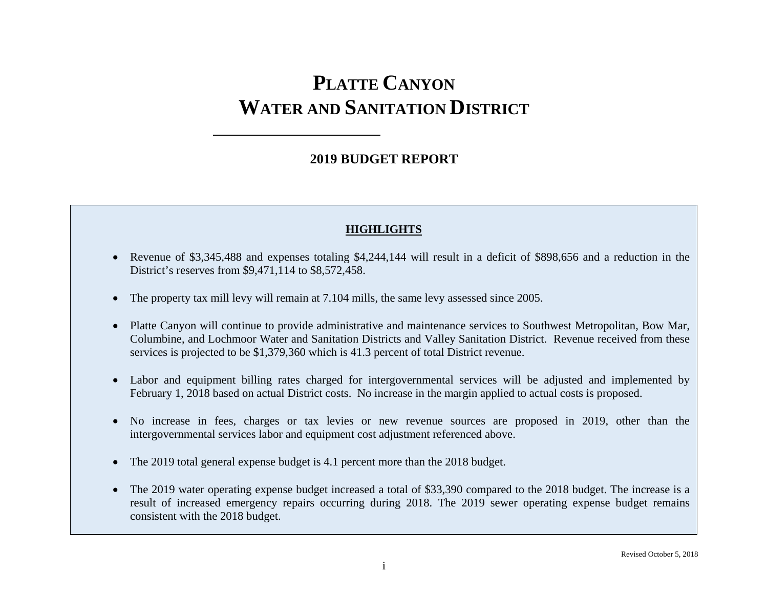## **2019 BUDGET REPORT**

### **HIGHLIGHTS**

- Revenue of \$3,345,488 and expenses totaling \$4,244,144 will result in a deficit of \$898,656 and a reduction in the District's reserves from \$9,471,114 to \$8,572,458.
- The property tax mill levy will remain at 7.104 mills, the same levy assessed since 2005.
- Platte Canyon will continue to provide administrative and maintenance services to Southwest Metropolitan, Bow Mar, Columbine, and Lochmoor Water and Sanitation Districts and Valley Sanitation District. Revenue received from these services is projected to be \$1,379,360 which is 41.3 percent of total District revenue.
- Labor and equipment billing rates charged for intergovernmental services will be adjusted and implemented by February 1, 2018 based on actual District costs. No increase in the margin applied to actual costs is proposed.
- No increase in fees, charges or tax levies or new revenue sources are proposed in 2019, other than the intergovernmental services labor and equipment cost adjustment referenced above.
- The 2019 total general expense budget is 4.1 percent more than the 2018 budget.
- The 2019 water operating expense budget increased a total of \$33,390 compared to the 2018 budget. The increase is a result of increased emergency repairs occurring during 2018. The 2019 sewer operating expense budget remains consistent with the 2018 budget.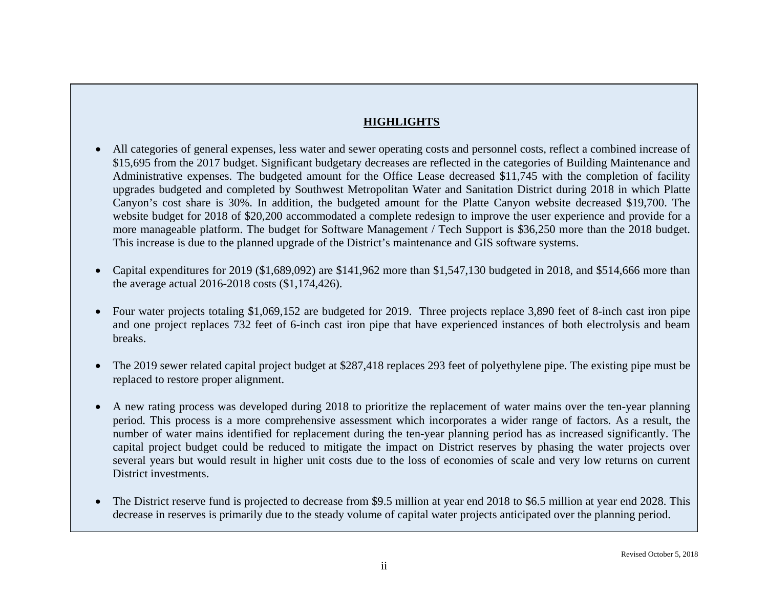### **HIGHLIGHTS**

- All categories of general expenses, less water and sewer operating costs and personnel costs, reflect a combined increase of \$15,695 from the 2017 budget. Significant budgetary decreases are reflected in the categories of Building Maintenance and Administrative expenses. The budgeted amount for the Office Lease decreased \$11,745 with the completion of facility upgrades budgeted and completed by Southwest Metropolitan Water and Sanitation District during 2018 in which Platte Canyon's cost share is 30%. In addition, the budgeted amount for the Platte Canyon website decreased \$19,700. The website budget for 2018 of \$20,200 accommodated a complete redesign to improve the user experience and provide for a more manageable platform. The budget for Software Management / Tech Support is \$36,250 more than the 2018 budget. This increase is due to the planned upgrade of the District's maintenance and GIS software systems.
- Capital expenditures for 2019 (\$1,689,092) are \$141,962 more than \$1,547,130 budgeted in 2018, and \$514,666 more than the average actual 2016-2018 costs (\$1,174,426).
- Four water projects totaling \$1,069,152 are budgeted for 2019. Three projects replace 3,890 feet of 8-inch cast iron pipe and one project replaces 732 feet of 6-inch cast iron pipe that have experienced instances of both electrolysis and beam breaks.
- The 2019 sewer related capital project budget at \$287,418 replaces 293 feet of polyethylene pipe. The existing pipe must be replaced to restore proper alignment.
- A new rating process was developed during 2018 to prioritize the replacement of water mains over the ten-year planning period. This process is a more comprehensive assessment which incorporates a wider range of factors. As a result, the number of water mains identified for replacement during the ten-year planning period has as increased significantly. The capital project budget could be reduced to mitigate the impact on District reserves by phasing the water projects over several years but would result in higher unit costs due to the loss of economies of scale and very low returns on current District investments.
- The District reserve fund is projected to decrease from \$9.5 million at year end 2018 to \$6.5 million at year end 2028. This decrease in reserves is primarily due to the steady volume of capital water projects anticipated over the planning period.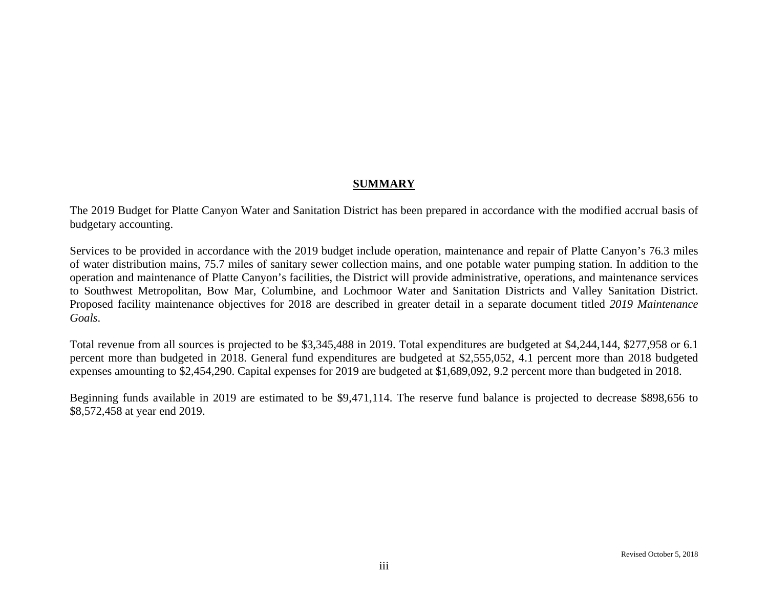### **SUMMARY**

The 2019 Budget for Platte Canyon Water and Sanitation District has been prepared in accordance with the modified accrual basis of budgetary accounting.

Services to be provided in accordance with the 2019 budget include operation, maintenance and repair of Platte Canyon's 76.3 miles of water distribution mains, 75.7 miles of sanitary sewer collection mains, and one potable water pumping station. In addition to the operation and maintenance of Platte Canyon's facilities, the District will provide administrative, operations, and maintenance services to Southwest Metropolitan, Bow Mar, Columbine, and Lochmoor Water and Sanitation Districts and Valley Sanitation District. Proposed facility maintenance objectives for 2018 are described in greater detail in a separate document titled *2019 Maintenance Goals*.

Total revenue from all sources is projected to be \$3,345,488 in 2019. Total expenditures are budgeted at \$4,244,144, \$277,958 or 6.1 percent more than budgeted in 2018. General fund expenditures are budgeted at \$2,555,052, 4.1 percent more than 2018 budgeted expenses amounting to \$2,454,290. Capital expenses for 2019 are budgeted at \$1,689,092, 9.2 percent more than budgeted in 2018.

Beginning funds available in 2019 are estimated to be \$9,471,114. The reserve fund balance is projected to decrease \$898,656 to \$8,572,458 at year end 2019.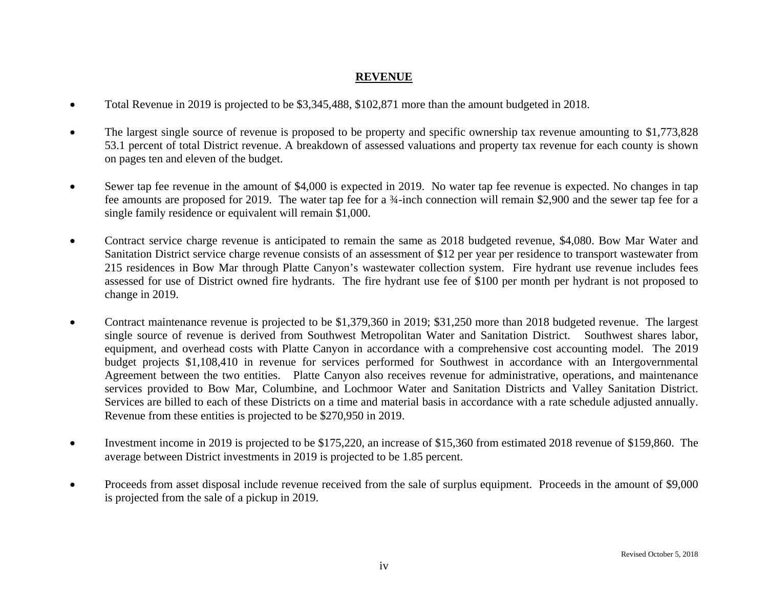### **REVENUE**

- $\bullet$ Total Revenue in 2019 is projected to be \$3,345,488, \$102,871 more than the amount budgeted in 2018.
- $\bullet$  The largest single source of revenue is proposed to be property and specific ownership tax revenue amounting to \$1,773,828 53.1 percent of total District revenue. A breakdown of assessed valuations and property tax revenue for each county is shown on pages ten and eleven of the budget.
- $\bullet$  Sewer tap fee revenue in the amount of \$4,000 is expected in 2019. No water tap fee revenue is expected. No changes in tap fee amounts are proposed for 2019. The water tap fee for a ¾-inch connection will remain \$2,900 and the sewer tap fee for a single family residence or equivalent will remain \$1,000.
- $\bullet$  Contract service charge revenue is anticipated to remain the same as 2018 budgeted revenue, \$4,080. Bow Mar Water and Sanitation District service charge revenue consists of an assessment of \$12 per year per residence to transport wastewater from 215 residences in Bow Mar through Platte Canyon's wastewater collection system. Fire hydrant use revenue includes fees assessed for use of District owned fire hydrants. The fire hydrant use fee of \$100 per month per hydrant is not proposed to change in 2019.
- $\bullet$  Contract maintenance revenue is projected to be \$1,379,360 in 2019; \$31,250 more than 2018 budgeted revenue. The largest single source of revenue is derived from Southwest Metropolitan Water and Sanitation District. Southwest shares labor, equipment, and overhead costs with Platte Canyon in accordance with a comprehensive cost accounting model. The 2019 budget projects \$1,108,410 in revenue for services performed for Southwest in accordance with an Intergovernmental Agreement between the two entities. Platte Canyon also receives revenue for administrative, operations, and maintenance services provided to Bow Mar, Columbine, and Lochmoor Water and Sanitation Districts and Valley Sanitation District. Services are billed to each of these Districts on a time and material basis in accordance with a rate schedule adjusted annually. Revenue from these entities is projected to be \$270,950 in 2019.
- $\bullet$  Investment income in 2019 is projected to be \$175,220, an increase of \$15,360 from estimated 2018 revenue of \$159,860. The average between District investments in 2019 is projected to be 1.85 percent.
- $\bullet$  Proceeds from asset disposal include revenue received from the sale of surplus equipment. Proceeds in the amount of \$9,000 is projected from the sale of a pickup in 2019.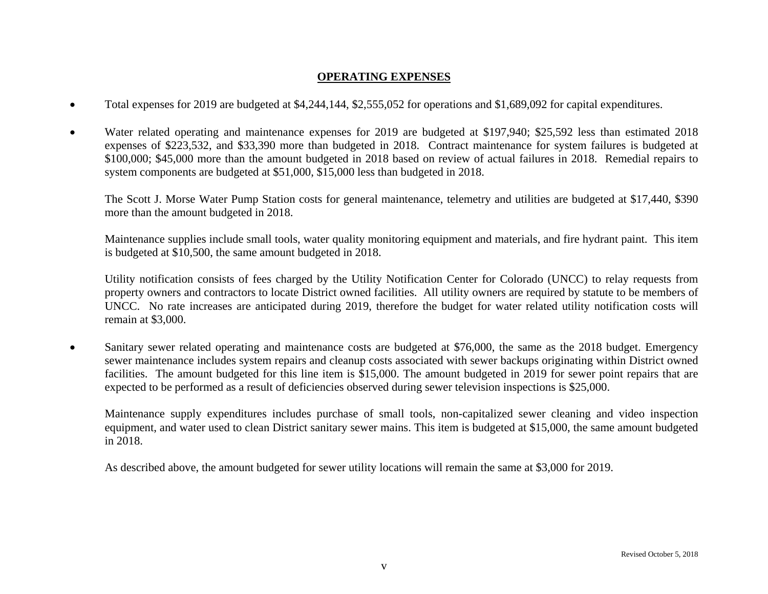### **OPERATING EXPENSES**

- $\bullet$ Total expenses for 2019 are budgeted at \$4,244,144, \$2,555,052 for operations and \$1,689,092 for capital expenditures.
- $\bullet$  Water related operating and maintenance expenses for 2019 are budgeted at \$197,940; \$25,592 less than estimated 2018 expenses of \$223,532, and \$33,390 more than budgeted in 2018. Contract maintenance for system failures is budgeted at \$100,000; \$45,000 more than the amount budgeted in 2018 based on review of actual failures in 2018. Remedial repairs to system components are budgeted at \$51,000, \$15,000 less than budgeted in 2018.

The Scott J. Morse Water Pump Station costs for general maintenance, telemetry and utilities are budgeted at \$17,440, \$390 more than the amount budgeted in 2018.

Maintenance supplies include small tools, water quality monitoring equipment and materials, and fire hydrant paint. This item is budgeted at \$10,500, the same amount budgeted in 2018.

Utility notification consists of fees charged by the Utility Notification Center for Colorado (UNCC) to relay requests from property owners and contractors to locate District owned facilities. All utility owners are required by statute to be members of UNCC. No rate increases are anticipated during 2019, therefore the budget for water related utility notification costs will remain at \$3,000.

 $\bullet$  Sanitary sewer related operating and maintenance costs are budgeted at \$76,000, the same as the 2018 budget. Emergency sewer maintenance includes system repairs and cleanup costs associated with sewer backups originating within District owned facilities. The amount budgeted for this line item is \$15,000. The amount budgeted in 2019 for sewer point repairs that are expected to be performed as a result of deficiencies observed during sewer television inspections is \$25,000.

Maintenance supply expenditures includes purchase of small tools, non-capitalized sewer cleaning and video inspection equipment, and water used to clean District sanitary sewer mains. This item is budgeted at \$15,000, the same amount budgeted in 2018.

As described above, the amount budgeted for sewer utility locations will remain the same at \$3,000 for 2019.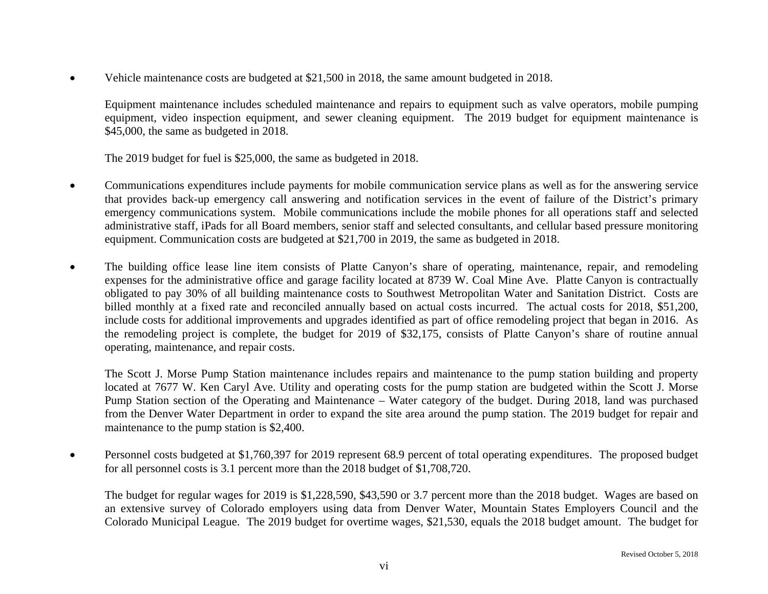$\bullet$ Vehicle maintenance costs are budgeted at \$21,500 in 2018, the same amount budgeted in 2018.

Equipment maintenance includes scheduled maintenance and repairs to equipment such as valve operators, mobile pumping equipment, video inspection equipment, and sewer cleaning equipment. The 2019 budget for equipment maintenance is \$45,000, the same as budgeted in 2018.

The 2019 budget for fuel is \$25,000, the same as budgeted in 2018.

- $\bullet$  Communications expenditures include payments for mobile communication service plans as well as for the answering service that provides back-up emergency call answering and notification services in the event of failure of the District's primary emergency communications system. Mobile communications include the mobile phones for all operations staff and selected administrative staff, iPads for all Board members, senior staff and selected consultants, and cellular based pressure monitoring equipment. Communication costs are budgeted at \$21,700 in 2019, the same as budgeted in 2018.
- $\bullet$  The building office lease line item consists of Platte Canyon's share of operating, maintenance, repair, and remodeling expenses for the administrative office and garage facility located at 8739 W. Coal Mine Ave. Platte Canyon is contractually obligated to pay 30% of all building maintenance costs to Southwest Metropolitan Water and Sanitation District. Costs are billed monthly at a fixed rate and reconciled annually based on actual costs incurred. The actual costs for 2018, \$51,200, include costs for additional improvements and upgrades identified as part of office remodeling project that began in 2016. As the remodeling project is complete, the budget for 2019 of \$32,175, consists of Platte Canyon's share of routine annual operating, maintenance, and repair costs.

The Scott J. Morse Pump Station maintenance includes repairs and maintenance to the pump station building and property located at 7677 W. Ken Caryl Ave. Utility and operating costs for the pump station are budgeted within the Scott J. Morse Pump Station section of the Operating and Maintenance – Water category of the budget. During 2018, land was purchased from the Denver Water Department in order to expand the site area around the pump station. The 2019 budget for repair and maintenance to the pump station is \$2,400.

 $\bullet$  Personnel costs budgeted at \$1,760,397 for 2019 represent 68.9 percent of total operating expenditures. The proposed budget for all personnel costs is 3.1 percent more than the 2018 budget of \$1,708,720.

The budget for regular wages for 2019 is \$1,228,590, \$43,590 or 3.7 percent more than the 2018 budget. Wages are based on an extensive survey of Colorado employers using data from Denver Water, Mountain States Employers Council and the Colorado Municipal League. The 2019 budget for overtime wages, \$21,530, equals the 2018 budget amount. The budget for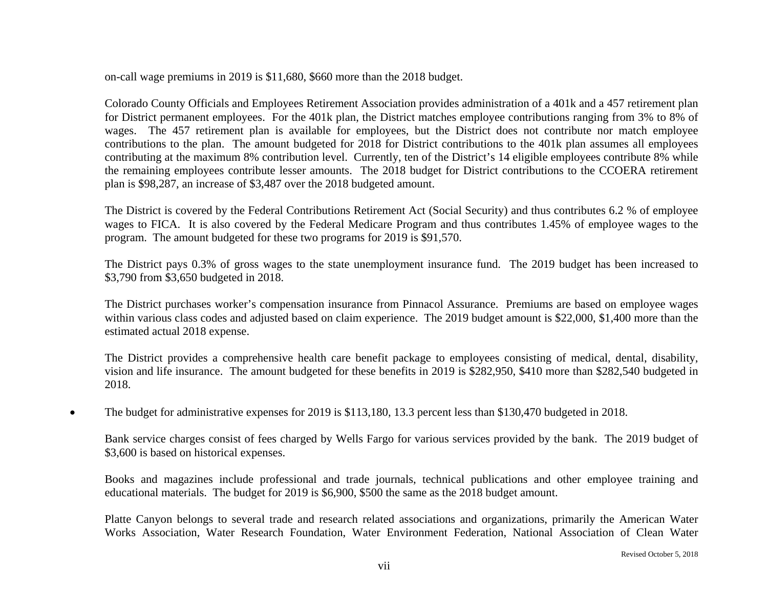on-call wage premiums in 2019 is \$11,680, \$660 more than the 2018 budget.

Colorado County Officials and Employees Retirement Association provides administration of a 401k and a 457 retirement plan for District permanent employees. For the 401k plan, the District matches employee contributions ranging from 3% to 8% of wages. The 457 retirement plan is available for employees, but the District does not contribute nor match employee contributions to the plan. The amount budgeted for 2018 for District contributions to the 401k plan assumes all employees contributing at the maximum 8% contribution level. Currently, ten of the District's 14 eligible employees contribute 8% while the remaining employees contribute lesser amounts. The 2018 budget for District contributions to the CCOERA retirement plan is \$98,287, an increase of \$3,487 over the 2018 budgeted amount.

The District is covered by the Federal Contributions Retirement Act (Social Security) and thus contributes 6.2 % of employee wages to FICA. It is also covered by the Federal Medicare Program and thus contributes 1.45% of employee wages to the program. The amount budgeted for these two programs for 2019 is \$91,570.

The District pays 0.3% of gross wages to the state unemployment insurance fund. The 2019 budget has been increased to \$3,790 from \$3,650 budgeted in 2018.

The District purchases worker's compensation insurance from Pinnacol Assurance. Premiums are based on employee wages within various class codes and adjusted based on claim experience. The 2019 budget amount is \$22,000, \$1,400 more than the estimated actual 2018 expense.

The District provides a comprehensive health care benefit package to employees consisting of medical, dental, disability, vision and life insurance. The amount budgeted for these benefits in 2019 is \$282,950, \$410 more than \$282,540 budgeted in 2018.

0 The budget for administrative expenses for 2019 is \$113,180, 13.3 percent less than \$130,470 budgeted in 2018.

Bank service charges consist of fees charged by Wells Fargo for various services provided by the bank. The 2019 budget of \$3,600 is based on historical expenses.

Books and magazines include professional and trade journals, technical publications and other employee training and educational materials. The budget for 2019 is \$6,900, \$500 the same as the 2018 budget amount.

Platte Canyon belongs to several trade and research related associations and organizations, primarily the American Water Works Association, Water Research Foundation, Water Environment Federation, National Association of Clean Water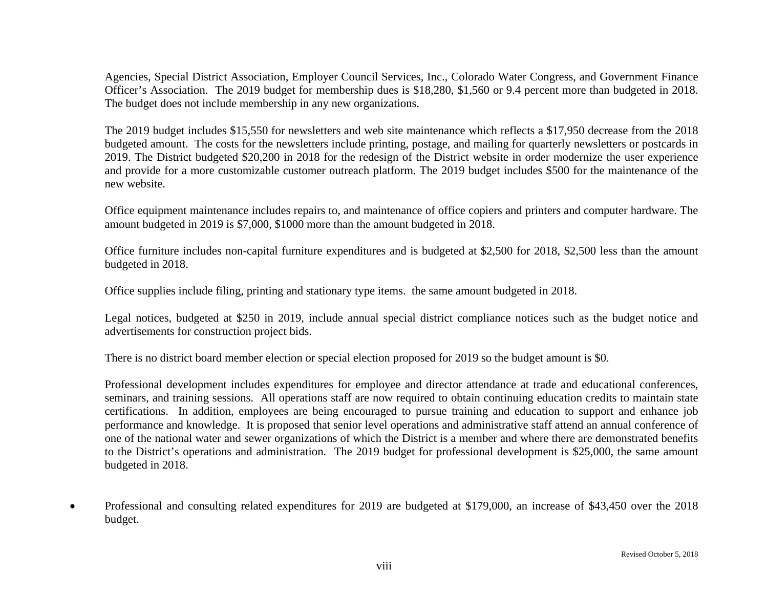Agencies, Special District Association, Employer Council Services, Inc., Colorado Water Congress, and Government Finance Officer's Association. The 2019 budget for membership dues is \$18,280, \$1,560 or 9.4 percent more than budgeted in 2018. The budget does not include membership in any new organizations.

The 2019 budget includes \$15,550 for newsletters and web site maintenance which reflects a \$17,950 decrease from the 2018 budgeted amount. The costs for the newsletters include printing, postage, and mailing for quarterly newsletters or postcards in 2019. The District budgeted \$20,200 in 2018 for the redesign of the District website in order modernize the user experience and provide for a more customizable customer outreach platform. The 2019 budget includes \$500 for the maintenance of the new website.

Office equipment maintenance includes repairs to, and maintenance of office copiers and printers and computer hardware. The amount budgeted in 2019 is \$7,000, \$1000 more than the amount budgeted in 2018.

Office furniture includes non-capital furniture expenditures and is budgeted at \$2,500 for 2018, \$2,500 less than the amount budgeted in 2018.

Office supplies include filing, printing and stationary type items. the same amount budgeted in 2018.

Legal notices, budgeted at \$250 in 2019, include annual special district compliance notices such as the budget notice and advertisements for construction project bids.

There is no district board member election or special election proposed for 2019 so the budget amount is \$0.

Professional development includes expenditures for employee and director attendance at trade and educational conferences, seminars, and training sessions. All operations staff are now required to obtain continuing education credits to maintain state certifications. In addition, employees are being encouraged to pursue training and education to support and enhance job performance and knowledge. It is proposed that senior level operations and administrative staff attend an annual conference of one of the national water and sewer organizations of which the District is a member and where there are demonstrated benefits to the District's operations and administration. The 2019 budget for professional development is \$25,000, the same amount budgeted in 2018.

 $\bullet$  Professional and consulting related expenditures for 2019 are budgeted at \$179,000, an increase of \$43,450 over the 2018 budget.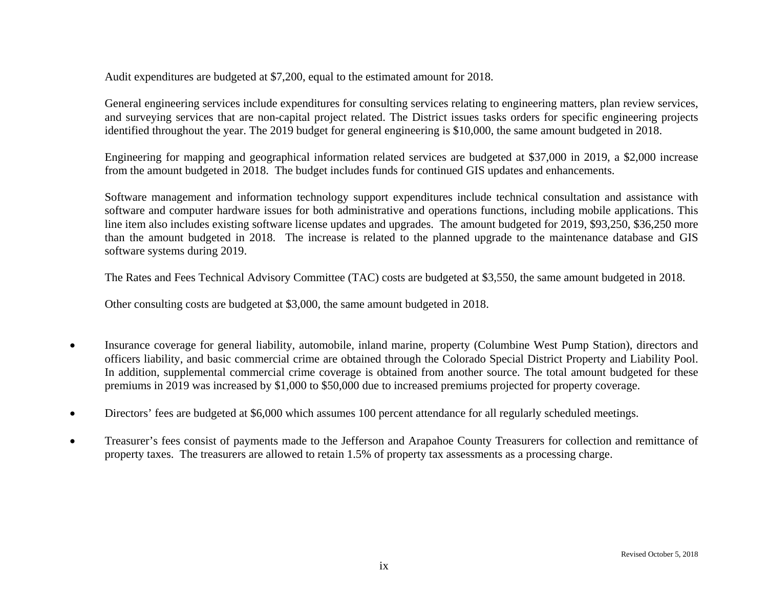Audit expenditures are budgeted at \$7,200, equal to the estimated amount for 2018.

General engineering services include expenditures for consulting services relating to engineering matters, plan review services, and surveying services that are non-capital project related. The District issues tasks orders for specific engineering projects identified throughout the year. The 2019 budget for general engineering is \$10,000, the same amount budgeted in 2018.

Engineering for mapping and geographical information related services are budgeted at \$37,000 in 2019, a \$2,000 increase from the amount budgeted in 2018. The budget includes funds for continued GIS updates and enhancements.

Software management and information technology support expenditures include technical consultation and assistance with software and computer hardware issues for both administrative and operations functions, including mobile applications. This line item also includes existing software license updates and upgrades. The amount budgeted for 2019, \$93,250, \$36,250 more than the amount budgeted in 2018. The increase is related to the planned upgrade to the maintenance database and GIS software systems during 2019.

The Rates and Fees Technical Advisory Committee (TAC) costs are budgeted at \$3,550, the same amount budgeted in 2018.

Other consulting costs are budgeted at \$3,000, the same amount budgeted in 2018.

- $\bullet$  Insurance coverage for general liability, automobile, inland marine, property (Columbine West Pump Station), directors and officers liability, and basic commercial crime are obtained through the Colorado Special District Property and Liability Pool. In addition, supplemental commercial crime coverage is obtained from another source. The total amount budgeted for these premiums in 2019 was increased by \$1,000 to \$50,000 due to increased premiums projected for property coverage.
- $\bullet$ Directors' fees are budgeted at \$6,000 which assumes 100 percent attendance for all regularly scheduled meetings.
- $\bullet$  Treasurer's fees consist of payments made to the Jefferson and Arapahoe County Treasurers for collection and remittance of property taxes. The treasurers are allowed to retain 1.5% of property tax assessments as a processing charge.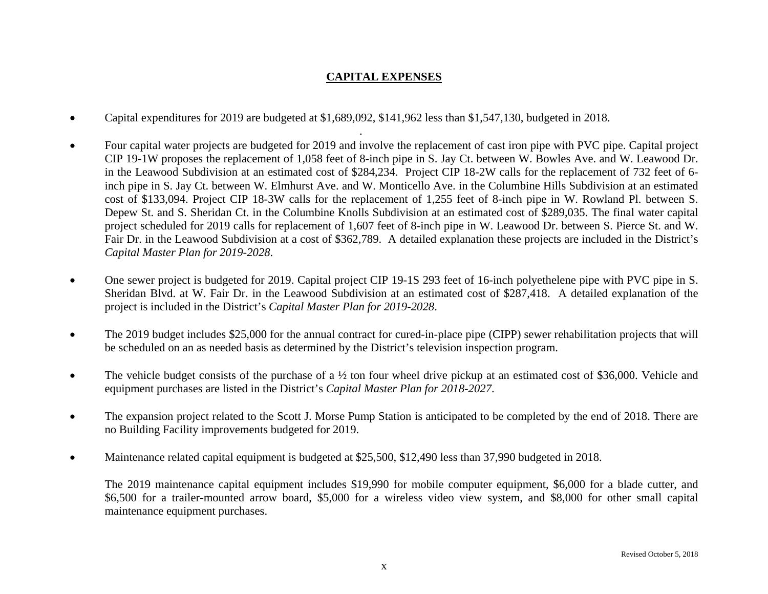### **CAPITAL EXPENSES**

 $\bullet$ Capital expenditures for 2019 are budgeted at \$1,689,092, \$141,962 less than \$1,547,130, budgeted in 2018.

. A construction of the construction of the construction of the construction of the construction of the construction of the construction of the construction of the construction of the construction of the construction of th

- . Four capital water projects are budgeted for 2019 and involve the replacement of cast iron pipe with PVC pipe. Capital project CIP 19-1W proposes the replacement of 1,058 feet of 8-inch pipe in S. Jay Ct. between W. Bowles Ave. and W. Leawood Dr. in the Leawood Subdivision at an estimated cost of \$284,234. Project CIP 18-2W calls for the replacement of 732 feet of 6 inch pipe in S. Jay Ct. between W. Elmhurst Ave. and W. Monticello Ave. in the Columbine Hills Subdivision at an estimated cost of \$133,094. Project CIP 18-3W calls for the replacement of 1,255 feet of 8-inch pipe in W. Rowland Pl. between S. Depew St. and S. Sheridan Ct. in the Columbine Knolls Subdivision at an estimated cost of \$289,035. The final water capital project scheduled for 2019 calls for replacement of 1,607 feet of 8-inch pipe in W. Leawood Dr. between S. Pierce St. and W. Fair Dr. in the Leawood Subdivision at a cost of \$362,789. A detailed explanation these projects are included in the District's *Capital Master Plan for 2019-2028*.
- $\bullet$  One sewer project is budgeted for 2019. Capital project CIP 19-1S 293 feet of 16-inch polyethelene pipe with PVC pipe in S. Sheridan Blvd. at W. Fair Dr. in the Leawood Subdivision at an estimated cost of \$287,418. A detailed explanation of the project is included in the District's *Capital Master Plan for 2019-2028*.
- $\bullet$  The 2019 budget includes \$25,000 for the annual contract for cured-in-place pipe (CIPP) sewer rehabilitation projects that will be scheduled on an as needed basis as determined by the District's television inspection program.
- $\bullet$ The vehicle budget consists of the purchase of a  $\frac{1}{2}$  ton four wheel drive pickup at an estimated cost of \$36,000. Vehicle and equipment purchases are listed in the District's *Capital Master Plan for 2018-2027*.
- $\bullet$  The expansion project related to the Scott J. Morse Pump Station is anticipated to be completed by the end of 2018. There are no Building Facility improvements budgeted for 2019.
- $\bullet$ Maintenance related capital equipment is budgeted at \$25,500, \$12,490 less than 37,990 budgeted in 2018.

The 2019 maintenance capital equipment includes \$19,990 for mobile computer equipment, \$6,000 for a blade cutter, and \$6,500 for a trailer-mounted arrow board, \$5,000 for a wireless video view system, and \$8,000 for other small capital maintenance equipment purchases.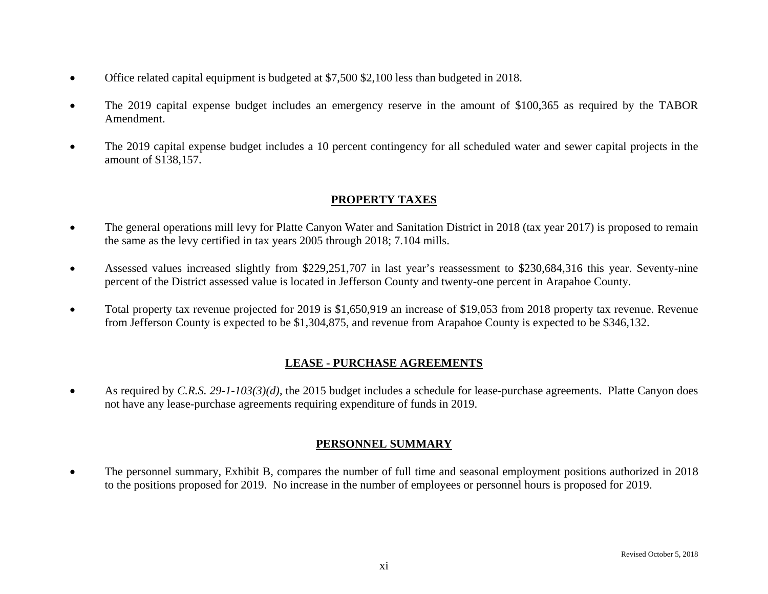- $\bullet$ Office related capital equipment is budgeted at \$7,500 \$2,100 less than budgeted in 2018.
- $\bullet$  The 2019 capital expense budget includes an emergency reserve in the amount of \$100,365 as required by the TABOR Amendment.
- $\bullet$  The 2019 capital expense budget includes a 10 percent contingency for all scheduled water and sewer capital projects in the amount of \$138,157.

### **PROPERTY TAXES**

- $\bullet$  The general operations mill levy for Platte Canyon Water and Sanitation District in 2018 (tax year 2017) is proposed to remain the same as the levy certified in tax years 2005 through 2018; 7.104 mills.
- $\bullet$  Assessed values increased slightly from \$229,251,707 in last year's reassessment to \$230,684,316 this year. Seventy-nine percent of the District assessed value is located in Jefferson County and twenty-one percent in Arapahoe County.
- $\bullet$  Total property tax revenue projected for 2019 is \$1,650,919 an increase of \$19,053 from 2018 property tax revenue. Revenue from Jefferson County is expected to be \$1,304,875, and revenue from Arapahoe County is expected to be \$346,132.

### **LEASE - PURCHASE AGREEMENTS**

 $\bullet$  As required by *C.R.S. 29-1-103(3)(d)*, the 2015 budget includes a schedule for lease-purchase agreements. Platte Canyon does not have any lease-purchase agreements requiring expenditure of funds in 2019.

### **PERSONNEL SUMMARY**

 $\bullet$  The personnel summary, Exhibit B, compares the number of full time and seasonal employment positions authorized in 2018 to the positions proposed for 2019. No increase in the number of employees or personnel hours is proposed for 2019.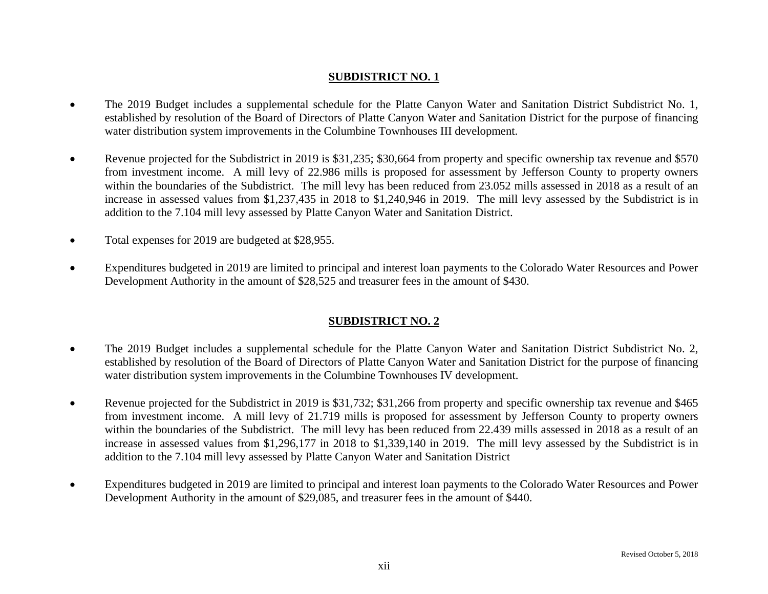### **SUBDISTRICT NO. 1**

- $\bullet$  The 2019 Budget includes a supplemental schedule for the Platte Canyon Water and Sanitation District Subdistrict No. 1, established by resolution of the Board of Directors of Platte Canyon Water and Sanitation District for the purpose of financing water distribution system improvements in the Columbine Townhouses III development.
- 0 Revenue projected for the Subdistrict in 2019 is \$31,235; \$30,664 from property and specific ownership tax revenue and \$570 from investment income. A mill levy of 22.986 mills is proposed for assessment by Jefferson County to property owners within the boundaries of the Subdistrict. The mill levy has been reduced from 23.052 mills assessed in 2018 as a result of an increase in assessed values from \$1,237,435 in 2018 to \$1,240,946 in 2019. The mill levy assessed by the Subdistrict is in addition to the 7.104 mill levy assessed by Platte Canyon Water and Sanitation District.
- $\bullet$ Total expenses for 2019 are budgeted at \$28,955.
- $\bullet$  Expenditures budgeted in 2019 are limited to principal and interest loan payments to the Colorado Water Resources and Power Development Authority in the amount of \$28,525 and treasurer fees in the amount of \$430.

### **SUBDISTRICT NO. 2**

- $\bullet$  The 2019 Budget includes a supplemental schedule for the Platte Canyon Water and Sanitation District Subdistrict No. 2, established by resolution of the Board of Directors of Platte Canyon Water and Sanitation District for the purpose of financing water distribution system improvements in the Columbine Townhouses IV development.
- $\bullet$  Revenue projected for the Subdistrict in 2019 is \$31,732; \$31,266 from property and specific ownership tax revenue and \$465 from investment income. A mill levy of 21.719 mills is proposed for assessment by Jefferson County to property owners within the boundaries of the Subdistrict. The mill levy has been reduced from 22.439 mills assessed in 2018 as a result of an increase in assessed values from \$1,296,177 in 2018 to \$1,339,140 in 2019. The mill levy assessed by the Subdistrict is in addition to the 7.104 mill levy assessed by Platte Canyon Water and Sanitation District
- $\bullet$  Expenditures budgeted in 2019 are limited to principal and interest loan payments to the Colorado Water Resources and Power Development Authority in the amount of \$29,085, and treasurer fees in the amount of \$440.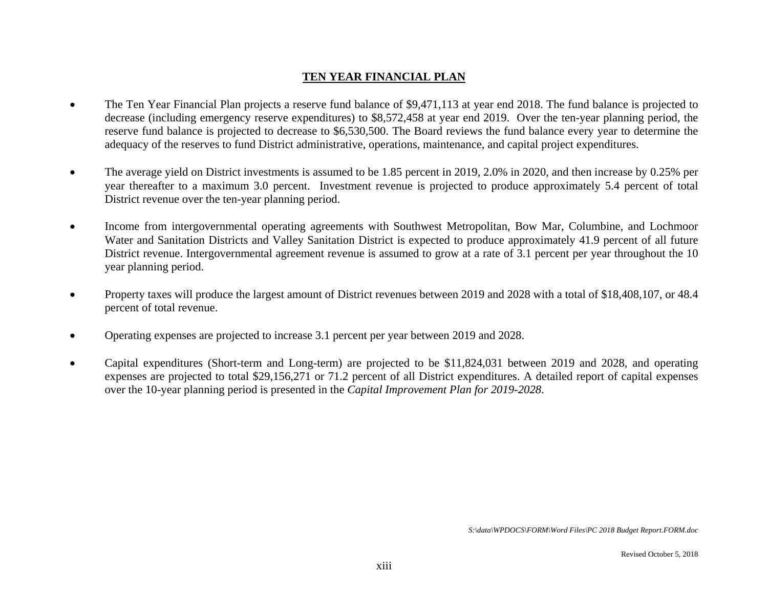### **TEN YEAR FINANCIAL PLAN**

- $\bullet$  The Ten Year Financial Plan projects a reserve fund balance of \$9,471,113 at year end 2018. The fund balance is projected to decrease (including emergency reserve expenditures) to \$8,572,458 at year end 2019. Over the ten-year planning period, the reserve fund balance is projected to decrease to \$6,530,500. The Board reviews the fund balance every year to determine the adequacy of the reserves to fund District administrative, operations, maintenance, and capital project expenditures.
- $\bullet$  The average yield on District investments is assumed to be 1.85 percent in 2019, 2.0% in 2020, and then increase by 0.25% per year thereafter to a maximum 3.0 percent. Investment revenue is projected to produce approximately 5.4 percent of total District revenue over the ten-year planning period.
- $\bullet$  Income from intergovernmental operating agreements with Southwest Metropolitan, Bow Mar, Columbine, and Lochmoor Water and Sanitation Districts and Valley Sanitation District is expected to produce approximately 41.9 percent of all future District revenue. Intergovernmental agreement revenue is assumed to grow at a rate of 3.1 percent per year throughout the 10 year planning period.
- $\bullet$  Property taxes will produce the largest amount of District revenues between 2019 and 2028 with a total of \$18,408,107, or 48.4 percent of total revenue.
- $\bullet$ Operating expenses are projected to increase 3.1 percent per year between 2019 and 2028.
- $\bullet$  Capital expenditures (Short-term and Long-term) are projected to be \$11,824,031 between 2019 and 2028, and operating expenses are projected to total \$29,156,271 or 71.2 percent of all District expenditures. A detailed report of capital expenses over the 10-year planning period is presented in the *Capital Improvement Plan for 2019-2028*.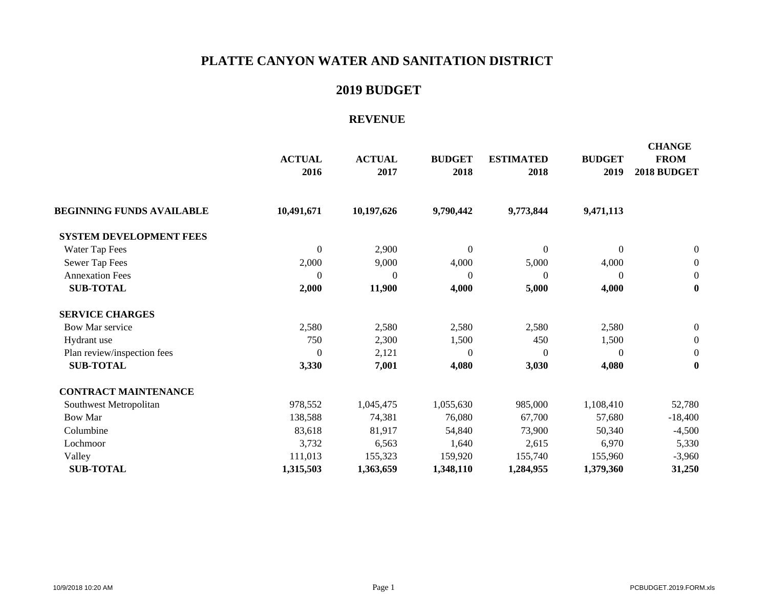### **2019 BUDGET**

#### **REVENUE**

|                                  | <b>ACTUAL</b><br>2016 | <b>ACTUAL</b><br>2017 | <b>BUDGET</b><br>2018 | <b>ESTIMATED</b><br>2018 | <b>BUDGET</b><br>2019 | <b>CHANGE</b><br><b>FROM</b><br>2018 BUDGET |
|----------------------------------|-----------------------|-----------------------|-----------------------|--------------------------|-----------------------|---------------------------------------------|
| <b>BEGINNING FUNDS AVAILABLE</b> | 10,491,671            | 10,197,626            | 9,790,442             | 9,773,844                | 9,471,113             |                                             |
| <b>SYSTEM DEVELOPMENT FEES</b>   |                       |                       |                       |                          |                       |                                             |
| Water Tap Fees                   | $\boldsymbol{0}$      | 2,900                 | $\boldsymbol{0}$      | $\overline{0}$           | $\boldsymbol{0}$      | $\boldsymbol{0}$                            |
| Sewer Tap Fees                   | 2,000                 | 9,000                 | 4,000                 | 5,000                    | 4,000                 | $\boldsymbol{0}$                            |
| <b>Annexation Fees</b>           | $\mathbf{0}$          | $\theta$              | $\theta$              | $\mathbf{0}$             | $\boldsymbol{0}$      | $\boldsymbol{0}$                            |
| <b>SUB-TOTAL</b>                 | 2,000                 | 11,900                | 4,000                 | 5,000                    | 4,000                 | $\bf{0}$                                    |
| <b>SERVICE CHARGES</b>           |                       |                       |                       |                          |                       |                                             |
| Bow Mar service                  | 2,580                 | 2,580                 | 2,580                 | 2,580                    | 2,580                 | $\boldsymbol{0}$                            |
| Hydrant use                      | 750                   | 2,300                 | 1,500                 | 450                      | 1,500                 | $\boldsymbol{0}$                            |
| Plan review/inspection fees      | $\Omega$              | 2,121                 | $\theta$              | $\Omega$                 | $\Omega$              | $\boldsymbol{0}$                            |
| <b>SUB-TOTAL</b>                 | 3,330                 | 7,001                 | 4,080                 | 3,030                    | 4,080                 | $\bf{0}$                                    |
| <b>CONTRACT MAINTENANCE</b>      |                       |                       |                       |                          |                       |                                             |
| Southwest Metropolitan           | 978,552               | 1,045,475             | 1,055,630             | 985,000                  | 1,108,410             | 52,780                                      |
| <b>Bow Mar</b>                   | 138,588               | 74,381                | 76,080                | 67,700                   | 57,680                | $-18,400$                                   |
| Columbine                        | 83,618                | 81,917                | 54,840                | 73,900                   | 50,340                | $-4,500$                                    |
| Lochmoor                         | 3,732                 | 6,563                 | 1,640                 | 2,615                    | 6,970                 | 5,330                                       |
| Valley                           | 111,013               | 155,323               | 159,920               | 155,740                  | 155,960               | $-3,960$                                    |
| <b>SUB-TOTAL</b>                 | 1,315,503             | 1,363,659             | 1,348,110             | 1,284,955                | 1,379,360             | 31,250                                      |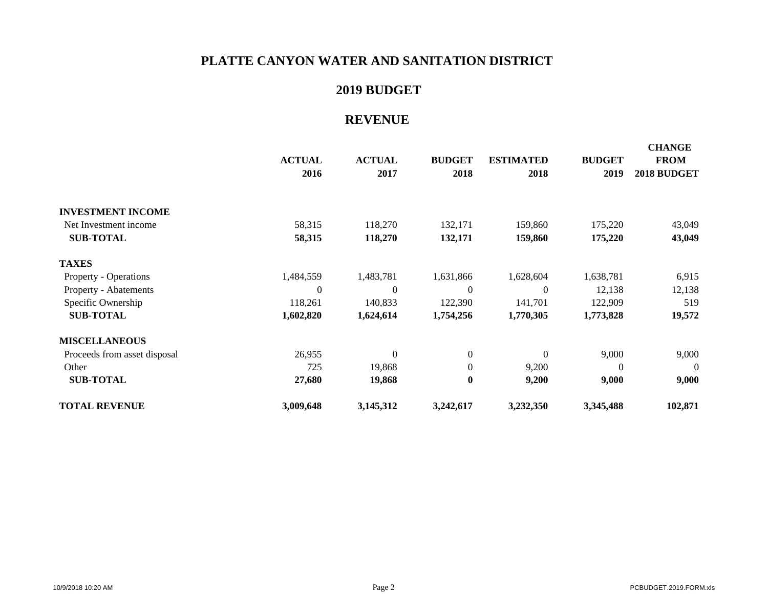### **2019 BUDGET**

### **REVENUE**

|                              | <b>ACTUAL</b><br>2016 | <b>ACTUAL</b><br>2017 | <b>BUDGET</b><br>2018 | <b>ESTIMATED</b><br>2018 | <b>BUDGET</b><br>2019 | <b>CHANGE</b><br><b>FROM</b><br>2018 BUDGET |
|------------------------------|-----------------------|-----------------------|-----------------------|--------------------------|-----------------------|---------------------------------------------|
| <b>INVESTMENT INCOME</b>     |                       |                       |                       |                          |                       |                                             |
| Net Investment income        | 58,315                | 118,270               | 132,171               | 159,860                  | 175,220               | 43,049                                      |
| <b>SUB-TOTAL</b>             | 58,315                | 118,270               | 132,171               | 159,860                  | 175,220               | 43,049                                      |
| <b>TAXES</b>                 |                       |                       |                       |                          |                       |                                             |
| <b>Property - Operations</b> | 1,484,559             | 1,483,781             | 1,631,866             | 1,628,604                | 1,638,781             | 6,915                                       |
| Property - Abatements        | $\overline{0}$        | $\mathbf{0}$          | $\theta$              | $\overline{0}$           | 12,138                | 12,138                                      |
| Specific Ownership           | 118,261               | 140,833               | 122,390               | 141,701                  | 122,909               | 519                                         |
| <b>SUB-TOTAL</b>             | 1,602,820             | 1,624,614             | 1,754,256             | 1,770,305                | 1,773,828             | 19,572                                      |
| <b>MISCELLANEOUS</b>         |                       |                       |                       |                          |                       |                                             |
| Proceeds from asset disposal | 26,955                | $\Omega$              | $\boldsymbol{0}$      | $\Omega$                 | 9,000                 | 9,000                                       |
| Other                        | 725                   | 19,868                | $\mathbf{0}$          | 9,200                    | $\Omega$              | $\Omega$                                    |
| <b>SUB-TOTAL</b>             | 27,680                | 19,868                | $\bf{0}$              | 9,200                    | 9,000                 | 9,000                                       |
| <b>TOTAL REVENUE</b>         | 3,009,648             | 3,145,312             | 3,242,617             | 3,232,350                | 3,345,488             | 102,871                                     |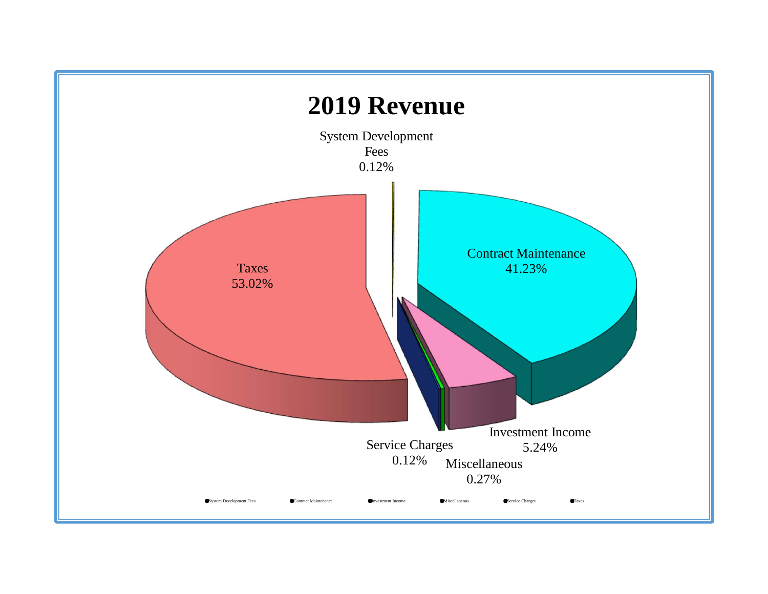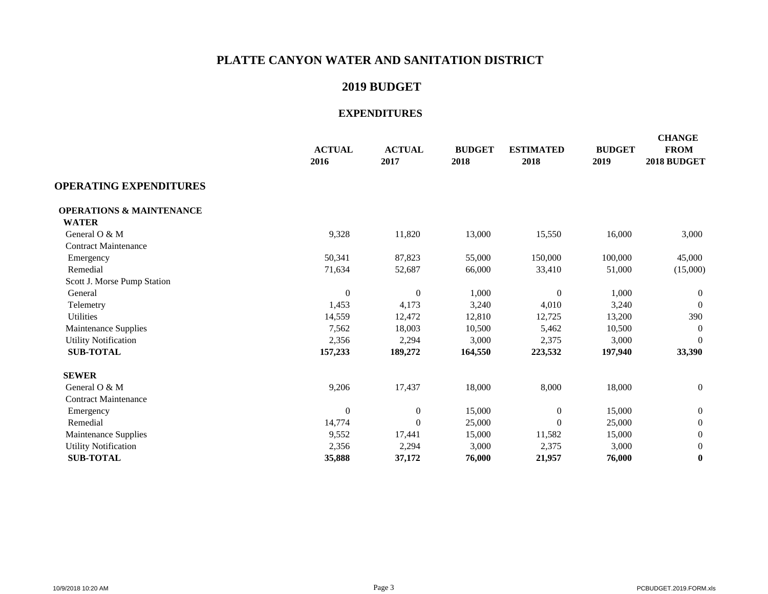### **2019 BUDGET**

|                                     | <b>ACTUAL</b><br>2016 | <b>ACTUAL</b><br>2017 | <b>BUDGET</b><br>2018 | <b>ESTIMATED</b><br>2018 | <b>BUDGET</b><br>2019 | <b>CHANGE</b><br><b>FROM</b><br>2018 BUDGET |
|-------------------------------------|-----------------------|-----------------------|-----------------------|--------------------------|-----------------------|---------------------------------------------|
| <b>OPERATING EXPENDITURES</b>       |                       |                       |                       |                          |                       |                                             |
| <b>OPERATIONS &amp; MAINTENANCE</b> |                       |                       |                       |                          |                       |                                             |
| <b>WATER</b>                        |                       |                       |                       |                          |                       |                                             |
| General O & M                       | 9,328                 | 11,820                | 13,000                | 15,550                   | 16,000                | 3,000                                       |
| <b>Contract Maintenance</b>         |                       |                       |                       |                          |                       |                                             |
| Emergency                           | 50,341                | 87,823                | 55,000                | 150,000                  | 100,000               | 45,000                                      |
| Remedial                            | 71,634                | 52,687                | 66,000                | 33,410                   | 51,000                | (15,000)                                    |
| Scott J. Morse Pump Station         |                       |                       |                       |                          |                       |                                             |
| General                             | $\boldsymbol{0}$      | $\boldsymbol{0}$      | 1,000                 | $\overline{0}$           | 1,000                 | 0                                           |
| Telemetry                           | 1,453                 | 4,173                 | 3,240                 | 4,010                    | 3,240                 | $\Omega$                                    |
| Utilities                           | 14,559                | 12,472                | 12,810                | 12,725                   | 13,200                | 390                                         |
| Maintenance Supplies                | 7,562                 | 18,003                | 10,500                | 5,462                    | 10,500                | $\overline{0}$                              |
| <b>Utility Notification</b>         | 2,356                 | 2,294                 | 3,000                 | 2,375                    | 3,000                 | $\Omega$                                    |
| <b>SUB-TOTAL</b>                    | 157,233               | 189,272               | 164,550               | 223,532                  | 197,940               | 33,390                                      |
| <b>SEWER</b>                        |                       |                       |                       |                          |                       |                                             |
| General O & M                       | 9,206                 | 17,437                | 18,000                | 8,000                    | 18,000                | $\mathbf{0}$                                |
| <b>Contract Maintenance</b>         |                       |                       |                       |                          |                       |                                             |
| Emergency                           | $\overline{0}$        | $\mathbf{0}$          | 15,000                | $\overline{0}$           | 15,000                | $\mathbf{0}$                                |
| Remedial                            | 14,774                | $\boldsymbol{0}$      | 25,000                | $\overline{0}$           | 25,000                | $\mathbf{0}$                                |
| Maintenance Supplies                | 9,552                 | 17,441                | 15,000                | 11,582                   | 15,000                | 0                                           |
| <b>Utility Notification</b>         | 2,356                 | 2,294                 | 3,000                 | 2,375                    | 3,000                 | $\mathbf{0}$                                |
| <b>SUB-TOTAL</b>                    | 35,888                | 37,172                | 76,000                | 21,957                   | 76,000                | $\bf{0}$                                    |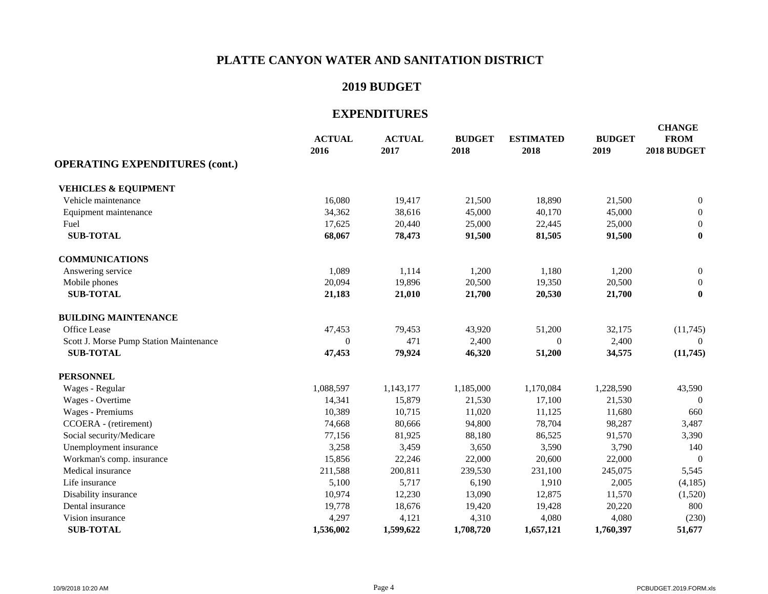### **2019 BUDGET**

|                                         | <b>ACTUAL</b><br>2016 | <b>ACTUAL</b><br>2017 | <b>BUDGET</b><br>2018 | <b>ESTIMATED</b><br>2018 | <b>BUDGET</b><br>2019 | <b>CHANGE</b><br><b>FROM</b><br>2018 BUDGET |
|-----------------------------------------|-----------------------|-----------------------|-----------------------|--------------------------|-----------------------|---------------------------------------------|
| <b>OPERATING EXPENDITURES (cont.)</b>   |                       |                       |                       |                          |                       |                                             |
| <b>VEHICLES &amp; EQUIPMENT</b>         |                       |                       |                       |                          |                       |                                             |
| Vehicle maintenance                     | 16,080                | 19,417                | 21,500                | 18,890                   | 21,500                | $\boldsymbol{0}$                            |
| Equipment maintenance                   | 34,362                | 38,616                | 45,000                | 40,170                   | 45,000                | $\mathbf{0}$                                |
| Fuel                                    | 17,625                | 20,440                | 25,000                | 22,445                   | 25,000                | $\mathbf{0}$                                |
| <b>SUB-TOTAL</b>                        | 68,067                | 78,473                | 91,500                | 81,505                   | 91,500                | $\bf{0}$                                    |
| <b>COMMUNICATIONS</b>                   |                       |                       |                       |                          |                       |                                             |
| Answering service                       | 1,089                 | 1,114                 | 1,200                 | 1,180                    | 1,200                 | $\boldsymbol{0}$                            |
| Mobile phones                           | 20,094                | 19,896                | 20,500                | 19,350                   | 20,500                | $\theta$                                    |
| <b>SUB-TOTAL</b>                        | 21,183                | 21,010                | 21,700                | 20,530                   | 21,700                | $\bf{0}$                                    |
| <b>BUILDING MAINTENANCE</b>             |                       |                       |                       |                          |                       |                                             |
| Office Lease                            | 47,453                | 79,453                | 43,920                | 51,200                   | 32,175                | (11,745)                                    |
| Scott J. Morse Pump Station Maintenance | $\boldsymbol{0}$      | 471                   | 2,400                 | $\mathbf{0}$             | 2,400                 | $\theta$                                    |
| <b>SUB-TOTAL</b>                        | 47,453                | 79,924                | 46,320                | 51,200                   | 34,575                | (11,745)                                    |
| <b>PERSONNEL</b>                        |                       |                       |                       |                          |                       |                                             |
| Wages - Regular                         | 1,088,597             | 1,143,177             | 1,185,000             | 1,170,084                | 1,228,590             | 43,590                                      |
| Wages - Overtime                        | 14,341                | 15,879                | 21,530                | 17,100                   | 21,530                | $\Omega$                                    |
| Wages - Premiums                        | 10,389                | 10,715                | 11,020                | 11,125                   | 11,680                | 660                                         |
| CCOERA - (retirement)                   | 74,668                | 80,666                | 94,800                | 78,704                   | 98,287                | 3,487                                       |
| Social security/Medicare                | 77,156                | 81,925                | 88,180                | 86,525                   | 91,570                | 3,390                                       |
| Unemployment insurance                  | 3,258                 | 3,459                 | 3,650                 | 3,590                    | 3,790                 | 140                                         |
| Workman's comp. insurance               | 15,856                | 22,246                | 22,000                | 20,600                   | 22,000                | $\Omega$                                    |
| Medical insurance                       | 211,588               | 200,811               | 239,530               | 231,100                  | 245,075               | 5,545                                       |
| Life insurance                          | 5,100                 | 5,717                 | 6,190                 | 1,910                    | 2,005                 | (4,185)                                     |
| Disability insurance                    | 10,974                | 12,230                | 13,090                | 12,875                   | 11,570                | (1,520)                                     |
| Dental insurance                        | 19,778                | 18,676                | 19,420                | 19,428                   | 20,220                | 800                                         |
| Vision insurance                        | 4,297                 | 4,121                 | 4,310                 | 4,080                    | 4,080                 | (230)                                       |
| <b>SUB-TOTAL</b>                        | 1,536,002             | 1,599,622             | 1,708,720             | 1,657,121                | 1,760,397             | 51,677                                      |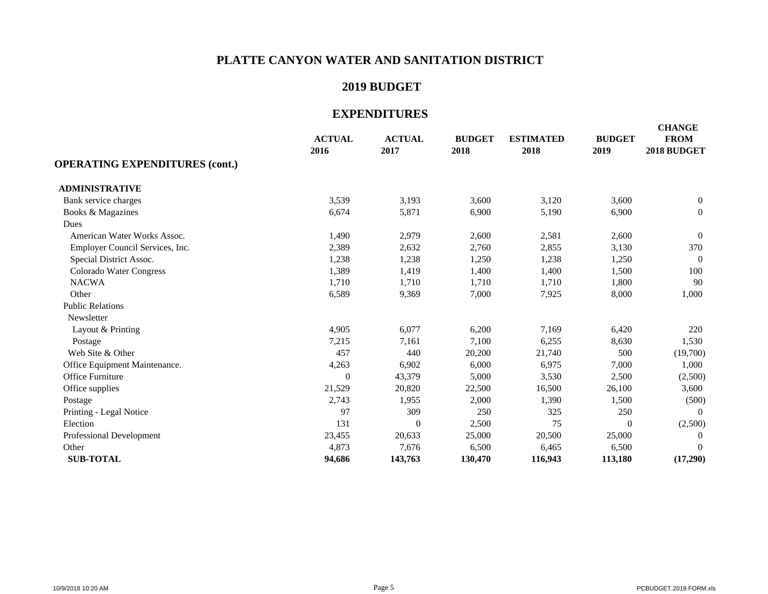### **2019 BUDGET**

|                                       | <b>ACTUAL</b><br>2016 | <b>ACTUAL</b><br>2017 | <b>BUDGET</b><br>2018 | <b>ESTIMATED</b><br>2018 | <b>BUDGET</b><br>2019 | <b>CHANGE</b><br><b>FROM</b><br>2018 BUDGET |
|---------------------------------------|-----------------------|-----------------------|-----------------------|--------------------------|-----------------------|---------------------------------------------|
| <b>OPERATING EXPENDITURES (cont.)</b> |                       |                       |                       |                          |                       |                                             |
| <b>ADMINISTRATIVE</b>                 |                       |                       |                       |                          |                       |                                             |
| Bank service charges                  | 3,539                 | 3,193                 | 3,600                 | 3,120                    | 3,600                 | $\overline{0}$                              |
| Books & Magazines                     | 6,674                 | 5,871                 | 6,900                 | 5,190                    | 6,900                 | $\boldsymbol{0}$                            |
| Dues                                  |                       |                       |                       |                          |                       |                                             |
| American Water Works Assoc.           | 1,490                 | 2,979                 | 2,600                 | 2,581                    | 2,600                 | $\overline{0}$                              |
| Employer Council Services, Inc.       | 2,389                 | 2,632                 | 2,760                 | 2,855                    | 3,130                 | 370                                         |
| Special District Assoc.               | 1,238                 | 1,238                 | 1,250                 | 1,238                    | 1,250                 | $\overline{0}$                              |
| Colorado Water Congress               | 1,389                 | 1,419                 | 1,400                 | 1,400                    | 1,500                 | 100                                         |
| <b>NACWA</b>                          | 1,710                 | 1,710                 | 1,710                 | 1,710                    | 1,800                 | 90                                          |
| Other                                 | 6,589                 | 9,369                 | 7,000                 | 7,925                    | 8,000                 | 1,000                                       |
| <b>Public Relations</b>               |                       |                       |                       |                          |                       |                                             |
| Newsletter                            |                       |                       |                       |                          |                       |                                             |
| Layout & Printing                     | 4,905                 | 6,077                 | 6,200                 | 7,169                    | 6,420                 | 220                                         |
| Postage                               | 7,215                 | 7,161                 | 7,100                 | 6,255                    | 8,630                 | 1,530                                       |
| Web Site & Other                      | 457                   | 440                   | 20,200                | 21,740                   | 500                   | (19,700)                                    |
| Office Equipment Maintenance.         | 4,263                 | 6,902                 | 6,000                 | 6,975                    | 7,000                 | 1,000                                       |
| <b>Office Furniture</b>               | $\boldsymbol{0}$      | 43,379                | 5,000                 | 3,530                    | 2,500                 | (2,500)                                     |
| Office supplies                       | 21,529                | 20,820                | 22,500                | 16,500                   | 26,100                | 3,600                                       |
| Postage                               | 2,743                 | 1,955                 | 2,000                 | 1,390                    | 1,500                 | (500)                                       |
| Printing - Legal Notice               | 97                    | 309                   | 250                   | 325                      | 250                   | $\Omega$                                    |
| Election                              | 131                   | $\theta$              | 2,500                 | 75                       | $\mathbf{0}$          | (2,500)                                     |
| Professional Development              | 23,455                | 20,633                | 25,000                | 20,500                   | 25,000                | $\mathbf{0}$                                |
| Other                                 | 4,873                 | 7,676                 | 6,500                 | 6,465                    | 6,500                 | $\Omega$                                    |
| <b>SUB-TOTAL</b>                      | 94,686                | 143,763               | 130,470               | 116,943                  | 113,180               | (17,290)                                    |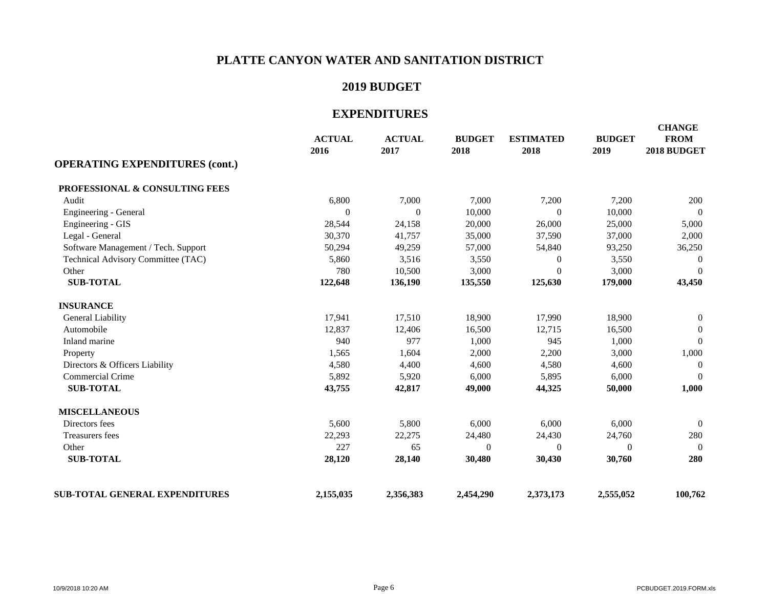### **2019 BUDGET**

| <b>OPERATING EXPENDITURES (cont.)</b> | <b>ACTUAL</b><br>2016 | <b>ACTUAL</b><br>2017 | <b>BUDGET</b><br>2018 | <b>ESTIMATED</b><br>2018 | <b>BUDGET</b><br>2019 | <b>CHANGE</b><br><b>FROM</b><br>2018 BUDGET |
|---------------------------------------|-----------------------|-----------------------|-----------------------|--------------------------|-----------------------|---------------------------------------------|
|                                       |                       |                       |                       |                          |                       |                                             |
| PROFESSIONAL & CONSULTING FEES        |                       |                       |                       |                          |                       |                                             |
| Audit                                 | 6,800                 | 7,000                 | 7,000                 | 7,200                    | 7,200                 | 200                                         |
| Engineering - General                 | $\mathbf{0}$          | $\boldsymbol{0}$      | 10,000                | $\overline{0}$           | 10,000                | $\overline{0}$                              |
| Engineering - GIS                     | 28,544                | 24,158                | 20,000                | 26,000                   | 25,000                | 5,000                                       |
| Legal - General                       | 30,370                | 41,757                | 35,000                | 37,590                   | 37,000                | 2,000                                       |
| Software Management / Tech. Support   | 50,294                | 49,259                | 57,000                | 54,840                   | 93,250                | 36,250                                      |
| Technical Advisory Committee (TAC)    | 5,860                 | 3,516                 | 3,550                 | $\theta$                 | 3,550                 | $\Omega$                                    |
| Other                                 | 780                   | 10,500                | 3,000                 | $\Omega$                 | 3,000                 | $\mathbf{0}$                                |
| <b>SUB-TOTAL</b>                      | 122,648               | 136,190               | 135,550               | 125,630                  | 179,000               | 43,450                                      |
| <b>INSURANCE</b>                      |                       |                       |                       |                          |                       |                                             |
| General Liability                     | 17,941                | 17,510                | 18,900                | 17,990                   | 18,900                | $\boldsymbol{0}$                            |
| Automobile                            | 12,837                | 12,406                | 16,500                | 12,715                   | 16,500                | $\Omega$                                    |
| Inland marine                         | 940                   | 977                   | 1,000                 | 945                      | 1,000                 | $\mathbf{0}$                                |
| Property                              | 1,565                 | 1,604                 | 2,000                 | 2,200                    | 3,000                 | 1,000                                       |
| Directors & Officers Liability        | 4,580                 | 4,400                 | 4,600                 | 4,580                    | 4,600                 | $\Omega$                                    |
| <b>Commercial Crime</b>               | 5,892                 | 5,920                 | 6,000                 | 5,895                    | 6,000                 | $\theta$                                    |
| <b>SUB-TOTAL</b>                      | 43,755                | 42,817                | 49,000                | 44,325                   | 50,000                | 1,000                                       |
| <b>MISCELLANEOUS</b>                  |                       |                       |                       |                          |                       |                                             |
| Directors fees                        | 5,600                 | 5,800                 | 6,000                 | 6,000                    | 6,000                 | $\mathbf{0}$                                |
| Treasurers fees                       | 22,293                | 22,275                | 24,480                | 24,430                   | 24,760                | 280                                         |
| Other                                 | 227                   | 65                    | $\Omega$              | $\Omega$                 | $\Omega$              | $\Omega$                                    |
| <b>SUB-TOTAL</b>                      | 28,120                | 28,140                | 30,480                | 30,430                   | 30,760                | 280                                         |
| <b>SUB-TOTAL GENERAL EXPENDITURES</b> | 2,155,035             | 2,356,383             | 2,454,290             | 2,373,173                | 2,555,052             | 100,762                                     |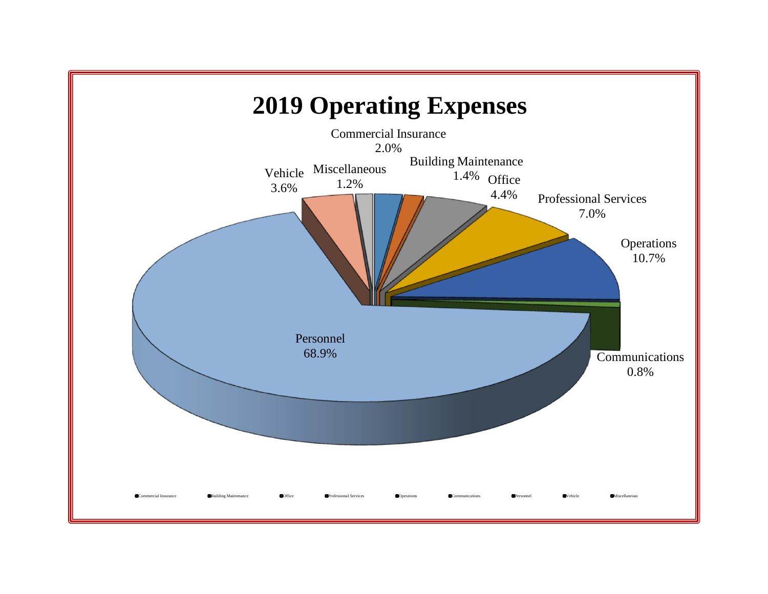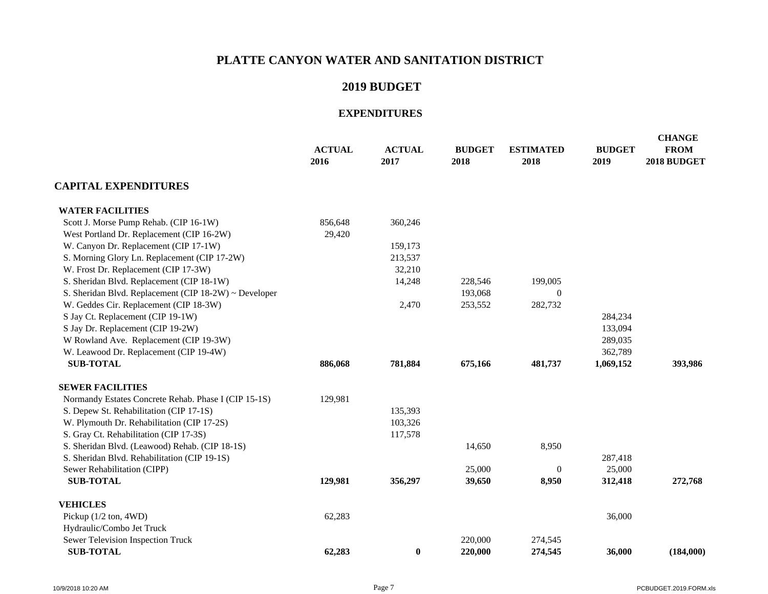### **2019 BUDGET**

|                                                       | <b>ACTUAL</b><br>2016 | <b>ACTUAL</b><br>2017 | <b>BUDGET</b><br>2018 | <b>ESTIMATED</b><br>2018 | <b>BUDGET</b><br>2019 | <b>CHANGE</b><br><b>FROM</b><br>2018 BUDGET |
|-------------------------------------------------------|-----------------------|-----------------------|-----------------------|--------------------------|-----------------------|---------------------------------------------|
| <b>CAPITAL EXPENDITURES</b>                           |                       |                       |                       |                          |                       |                                             |
| <b>WATER FACILITIES</b>                               |                       |                       |                       |                          |                       |                                             |
| Scott J. Morse Pump Rehab. (CIP 16-1W)                | 856,648               | 360,246               |                       |                          |                       |                                             |
| West Portland Dr. Replacement (CIP 16-2W)             | 29,420                |                       |                       |                          |                       |                                             |
| W. Canyon Dr. Replacement (CIP 17-1W)                 |                       | 159,173               |                       |                          |                       |                                             |
| S. Morning Glory Ln. Replacement (CIP 17-2W)          |                       | 213,537               |                       |                          |                       |                                             |
| W. Frost Dr. Replacement (CIP 17-3W)                  |                       | 32,210                |                       |                          |                       |                                             |
| S. Sheridan Blvd. Replacement (CIP 18-1W)             |                       | 14,248                | 228,546               | 199,005                  |                       |                                             |
| S. Sheridan Blvd. Replacement (CIP 18-2W) ~ Developer |                       |                       | 193,068               | 0                        |                       |                                             |
| W. Geddes Cir. Replacement (CIP 18-3W)                |                       | 2,470                 | 253,552               | 282,732                  |                       |                                             |
| S Jay Ct. Replacement (CIP 19-1W)                     |                       |                       |                       |                          | 284,234               |                                             |
| S Jay Dr. Replacement (CIP 19-2W)                     |                       |                       |                       |                          | 133,094               |                                             |
| W Rowland Ave. Replacement (CIP 19-3W)                |                       |                       |                       |                          | 289,035               |                                             |
| W. Leawood Dr. Replacement (CIP 19-4W)                |                       |                       |                       |                          | 362,789               |                                             |
| <b>SUB-TOTAL</b>                                      | 886,068               | 781,884               | 675,166               | 481,737                  | 1,069,152             | 393,986                                     |
| <b>SEWER FACILITIES</b>                               |                       |                       |                       |                          |                       |                                             |
| Normandy Estates Concrete Rehab. Phase I (CIP 15-1S)  | 129,981               |                       |                       |                          |                       |                                             |
| S. Depew St. Rehabilitation (CIP 17-1S)               |                       | 135,393               |                       |                          |                       |                                             |
| W. Plymouth Dr. Rehabilitation (CIP 17-2S)            |                       | 103,326               |                       |                          |                       |                                             |
| S. Gray Ct. Rehabilitation (CIP 17-3S)                |                       | 117,578               |                       |                          |                       |                                             |
| S. Sheridan Blvd. (Leawood) Rehab. (CIP 18-1S)        |                       |                       | 14,650                | 8,950                    |                       |                                             |
| S. Sheridan Blvd. Rehabilitation (CIP 19-1S)          |                       |                       |                       |                          | 287,418               |                                             |
| Sewer Rehabilitation (CIPP)                           |                       |                       | 25,000                | $\Omega$                 | 25,000                |                                             |
| <b>SUB-TOTAL</b>                                      | 129,981               | 356,297               | 39,650                | 8,950                    | 312,418               | 272,768                                     |
| <b>VEHICLES</b>                                       |                       |                       |                       |                          |                       |                                             |
| Pickup $(1/2 \text{ ton}, 4WD)$                       | 62,283                |                       |                       |                          | 36,000                |                                             |
| Hydraulic/Combo Jet Truck                             |                       |                       |                       |                          |                       |                                             |
| Sewer Television Inspection Truck                     |                       |                       | 220,000               | 274,545                  |                       |                                             |
| <b>SUB-TOTAL</b>                                      | 62,283                | $\bf{0}$              | 220,000               | 274,545                  | 36,000                | (184,000)                                   |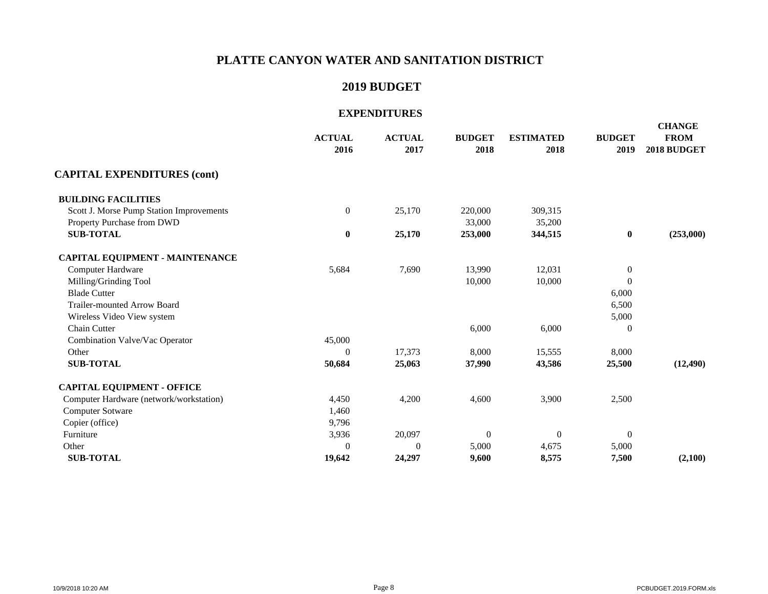### **2019 BUDGET**

|                                          | <b>ACTUAL</b><br>2016 | <b>ACTUAL</b><br>2017 | <b>BUDGET</b><br>2018 | <b>ESTIMATED</b><br>2018 | <b>BUDGET</b><br>2019 | <b>CHANGE</b><br><b>FROM</b><br>2018 BUDGET |
|------------------------------------------|-----------------------|-----------------------|-----------------------|--------------------------|-----------------------|---------------------------------------------|
| <b>CAPITAL EXPENDITURES (cont)</b>       |                       |                       |                       |                          |                       |                                             |
| <b>BUILDING FACILITIES</b>               |                       |                       |                       |                          |                       |                                             |
| Scott J. Morse Pump Station Improvements | $\boldsymbol{0}$      | 25,170                | 220,000               | 309,315                  |                       |                                             |
| Property Purchase from DWD               |                       |                       | 33,000                | 35,200                   |                       |                                             |
| <b>SUB-TOTAL</b>                         | $\bf{0}$              | 25,170                | 253,000               | 344,515                  | $\bf{0}$              | (253,000)                                   |
| <b>CAPITAL EQUIPMENT - MAINTENANCE</b>   |                       |                       |                       |                          |                       |                                             |
| Computer Hardware                        | 5,684                 | 7,690                 | 13,990                | 12,031                   | $\mathbf{0}$          |                                             |
| Milling/Grinding Tool                    |                       |                       | 10,000                | 10,000                   | $\Omega$              |                                             |
| <b>Blade Cutter</b>                      |                       |                       |                       |                          | 6,000                 |                                             |
| <b>Trailer-mounted Arrow Board</b>       |                       |                       |                       |                          | 6,500                 |                                             |
| Wireless Video View system               |                       |                       |                       |                          | 5,000                 |                                             |
| Chain Cutter                             |                       |                       | 6,000                 | 6,000                    | $\boldsymbol{0}$      |                                             |
| Combination Valve/Vac Operator           | 45,000                |                       |                       |                          |                       |                                             |
| Other                                    | $\Omega$              | 17,373                | 8,000                 | 15,555                   | 8,000                 |                                             |
| <b>SUB-TOTAL</b>                         | 50,684                | 25,063                | 37,990                | 43,586                   | 25,500                | (12, 490)                                   |
| <b>CAPITAL EQUIPMENT - OFFICE</b>        |                       |                       |                       |                          |                       |                                             |
| Computer Hardware (network/workstation)  | 4,450                 | 4,200                 | 4,600                 | 3,900                    | 2,500                 |                                             |
| <b>Computer Sotware</b>                  | 1,460                 |                       |                       |                          |                       |                                             |
| Copier (office)                          | 9,796                 |                       |                       |                          |                       |                                             |
| Furniture                                | 3,936                 | 20,097                | $\Omega$              | $\Omega$                 | $\Omega$              |                                             |
| Other                                    | $\theta$              | $\overline{0}$        | 5,000                 | 4,675                    | 5,000                 |                                             |
| <b>SUB-TOTAL</b>                         | 19,642                | 24,297                | 9,600                 | 8,575                    | 7,500                 | (2,100)                                     |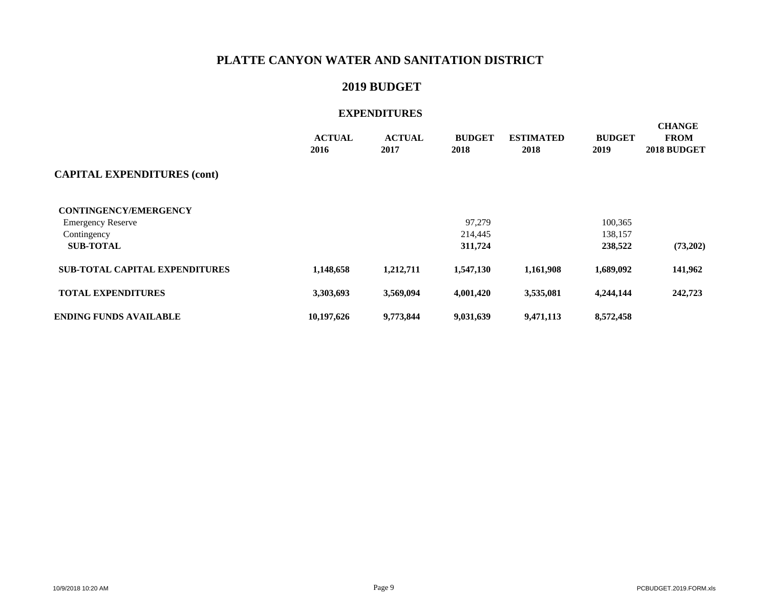### **2019 BUDGET**

|                                       | <b>ACTUAL</b><br>2016 | <b>ACTUAL</b><br>2017 | <b>BUDGET</b><br>2018 | <b>ESTIMATED</b><br>2018 | <b>BUDGET</b><br>2019 | <b>CHANGE</b><br><b>FROM</b><br>2018 BUDGET |
|---------------------------------------|-----------------------|-----------------------|-----------------------|--------------------------|-----------------------|---------------------------------------------|
| <b>CAPITAL EXPENDITURES (cont)</b>    |                       |                       |                       |                          |                       |                                             |
| <b>CONTINGENCY/EMERGENCY</b>          |                       |                       |                       |                          |                       |                                             |
| <b>Emergency Reserve</b>              |                       |                       | 97,279                |                          | 100,365               |                                             |
| Contingency                           |                       |                       | 214,445               |                          | 138,157               |                                             |
| <b>SUB-TOTAL</b>                      |                       |                       | 311,724               |                          | 238,522               | (73,202)                                    |
| <b>SUB-TOTAL CAPITAL EXPENDITURES</b> | 1,148,658             | 1,212,711             | 1,547,130             | 1,161,908                | 1,689,092             | 141,962                                     |
| <b>TOTAL EXPENDITURES</b>             | 3,303,693             | 3,569,094             | 4,001,420             | 3,535,081                | 4,244,144             | 242,723                                     |
| <b>ENDING FUNDS AVAILABLE</b>         | 10,197,626            | 9,773,844             | 9,031,639             | 9,471,113                | 8,572,458             |                                             |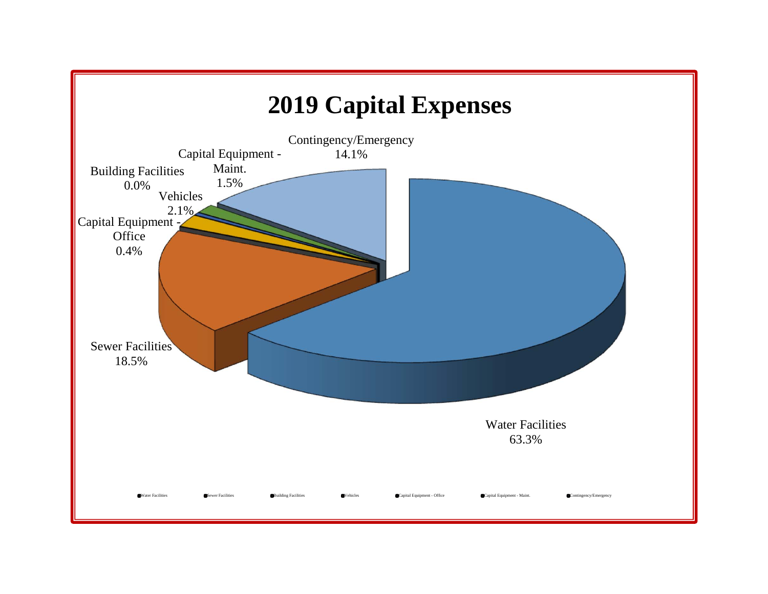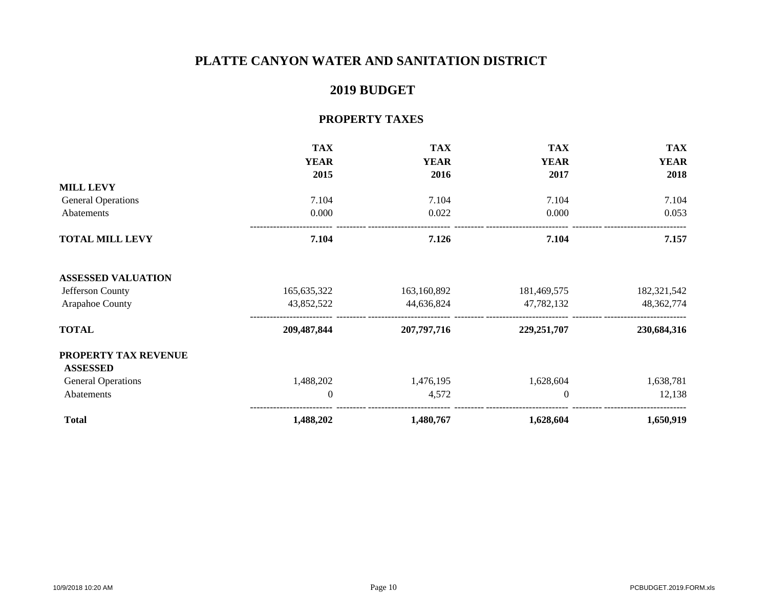### **2019 BUDGET**

### **PROPERTY TAXES**

|                           | <b>TAX</b>     | <b>TAX</b>  | <b>TAX</b>    | <b>TAX</b>   |
|---------------------------|----------------|-------------|---------------|--------------|
|                           | <b>YEAR</b>    | <b>YEAR</b> | <b>YEAR</b>   | <b>YEAR</b>  |
|                           | 2015           | 2016        | 2017          | 2018         |
| <b>MILL LEVY</b>          |                |             |               |              |
| <b>General Operations</b> | 7.104          | 7.104       | 7.104         | 7.104        |
| Abatements                | 0.000          | 0.022       | 0.000         | 0.053        |
| <b>TOTAL MILL LEVY</b>    | 7.104          | 7.126       | 7.104         | 7.157        |
| <b>ASSESSED VALUATION</b> |                |             |               |              |
| Jefferson County          | 165, 635, 322  | 163,160,892 | 181,469,575   | 182,321,542  |
| Arapahoe County           | 43,852,522     | 44,636,824  | 47,782,132    | 48, 362, 774 |
| <b>TOTAL</b>              | 209,487,844    | 207,797,716 | 229, 251, 707 | 230,684,316  |
| PROPERTY TAX REVENUE      |                |             |               |              |
| <b>ASSESSED</b>           |                |             |               |              |
| <b>General Operations</b> | 1,488,202      | 1,476,195   | 1,628,604     | 1,638,781    |
| Abatements                | $\overline{0}$ | 4,572       | $\Omega$      | 12,138       |
| <b>Total</b>              | 1,488,202      | 1,480,767   | 1,628,604     | 1,650,919    |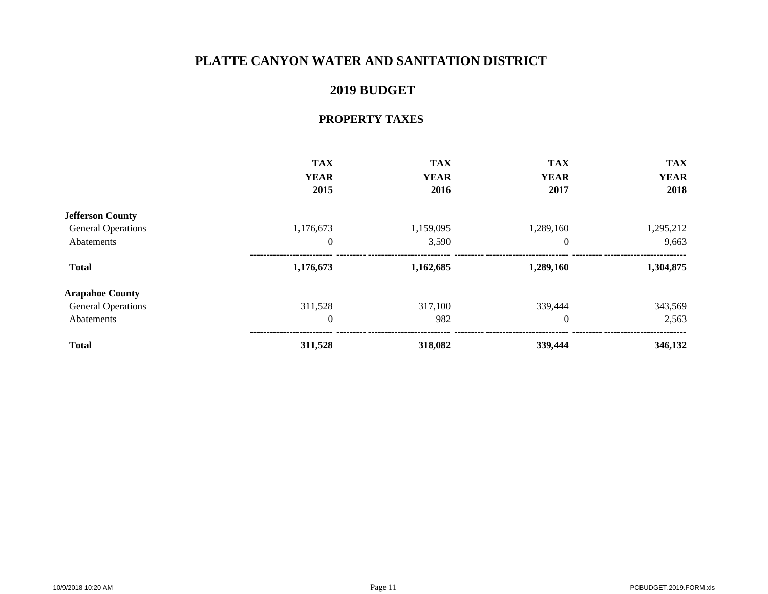### **2019 BUDGET**

### **PROPERTY TAXES**

|                           | <b>TAX</b>  | <b>TAX</b>  | <b>TAX</b>  | <b>TAX</b>  |
|---------------------------|-------------|-------------|-------------|-------------|
|                           | <b>YEAR</b> | <b>YEAR</b> | <b>YEAR</b> | <b>YEAR</b> |
|                           | 2015        | 2016        | 2017        | 2018        |
| <b>Jefferson County</b>   |             |             |             |             |
| <b>General Operations</b> | 1,176,673   | 1,159,095   | 1,289,160   | 1,295,212   |
| Abatements                | $\theta$    | 3,590       | $\theta$    | 9,663       |
| <b>Total</b>              | 1,176,673   | 1,162,685   | 1,289,160   | 1,304,875   |
| <b>Arapahoe County</b>    |             |             |             |             |
| <b>General Operations</b> | 311,528     | 317,100     | 339,444     | 343,569     |
| Abatements                | $\theta$    | 982         | $\theta$    | 2,563       |
| <b>Total</b>              | 311,528     | 318,082     | 339,444     | 346,132     |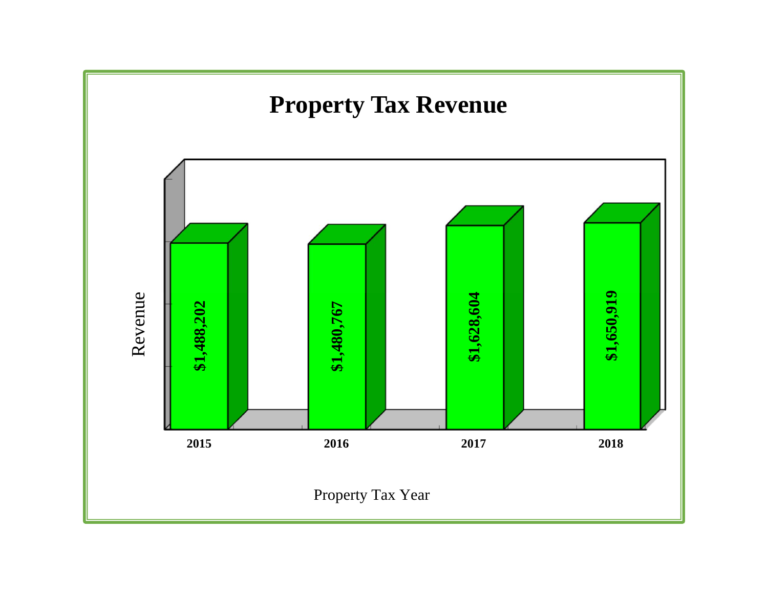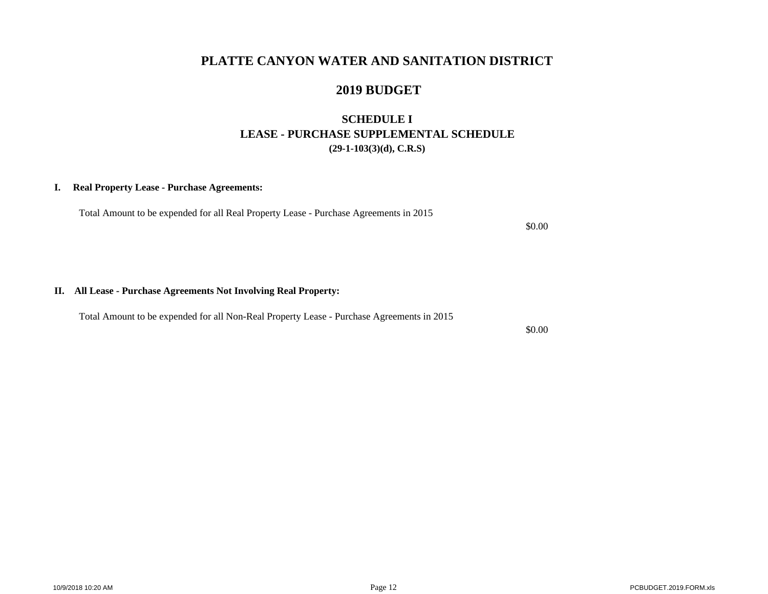### **2019 BUDGET**

### **SCHEDULE I LEASE - PURCHASE SUPPLEMENTAL SCHEDULE(29-1-103(3)(d), C.R.S)**

### **I. Real Property Lease - Purchase Agreements:**

Total Amount to be expended for all Real Property Lease - Purchase Agreements in 2015

\$0.00

#### **II. All Lease - Purchase Agreements Not Involving Real Property:**

Total Amount to be expended for all Non-Real Property Lease - Purchase Agreements in 2015

\$0.00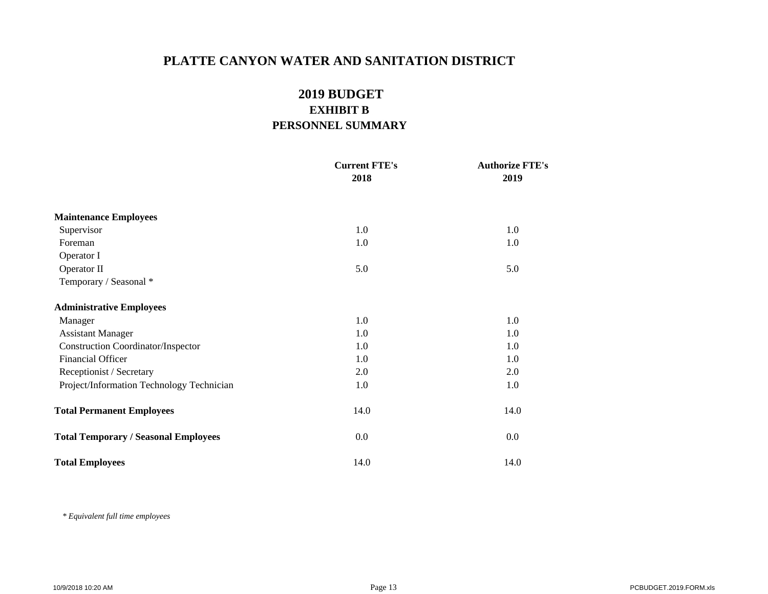### **2019 BUDGET EXHIBIT BPERSONNEL SUMMARY**

|                                             | <b>Current FTE's</b> | <b>Authorize FTE's</b> |
|---------------------------------------------|----------------------|------------------------|
|                                             | 2018                 | 2019                   |
| <b>Maintenance Employees</b>                |                      |                        |
| Supervisor                                  | 1.0                  | 1.0                    |
| Foreman                                     | 1.0                  | 1.0                    |
| Operator I                                  |                      |                        |
| Operator II                                 | 5.0                  | 5.0                    |
| Temporary / Seasonal *                      |                      |                        |
| <b>Administrative Employees</b>             |                      |                        |
| Manager                                     | 1.0                  | 1.0                    |
| <b>Assistant Manager</b>                    | 1.0                  | 1.0                    |
| <b>Construction Coordinator/Inspector</b>   | 1.0                  | 1.0                    |
| <b>Financial Officer</b>                    | 1.0                  | 1.0                    |
| Receptionist / Secretary                    | 2.0                  | 2.0                    |
| Project/Information Technology Technician   | 1.0                  | 1.0                    |
| <b>Total Permanent Employees</b>            | 14.0                 | 14.0                   |
| <b>Total Temporary / Seasonal Employees</b> | 0.0                  | 0.0                    |
| <b>Total Employees</b>                      | 14.0                 | 14.0                   |

 *\* Equivalent full time employees*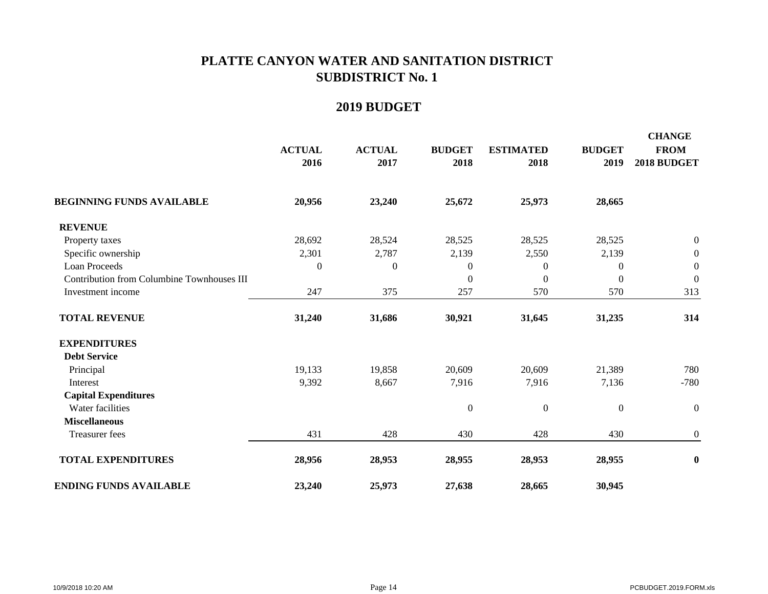|                                            | <b>ACTUAL</b><br>2016 | <b>ACTUAL</b><br>2017 | <b>BUDGET</b><br>2018 | <b>ESTIMATED</b><br>2018 | <b>BUDGET</b><br>2019 | <b>CHANGE</b><br><b>FROM</b><br>2018 BUDGET |
|--------------------------------------------|-----------------------|-----------------------|-----------------------|--------------------------|-----------------------|---------------------------------------------|
| <b>BEGINNING FUNDS AVAILABLE</b>           | 20,956                | 23,240                | 25,672                | 25,973                   | 28,665                |                                             |
| <b>REVENUE</b>                             |                       |                       |                       |                          |                       |                                             |
| Property taxes                             | 28,692                | 28,524                | 28,525                | 28,525                   | 28,525                | $\boldsymbol{0}$                            |
| Specific ownership                         | 2,301                 | 2,787                 | 2,139                 | 2,550                    | 2,139                 | $\boldsymbol{0}$                            |
| Loan Proceeds                              | $\boldsymbol{0}$      | $\boldsymbol{0}$      | $\mathbf{0}$          | $\boldsymbol{0}$         | $\boldsymbol{0}$      | $\mathbf{0}$                                |
| Contribution from Columbine Townhouses III |                       |                       | $\boldsymbol{0}$      | $\mathbf{0}$             | $\mathbf{0}$          | $\mathbf{0}$                                |
| Investment income                          | 247                   | 375                   | 257                   | 570                      | 570                   | 313                                         |
| <b>TOTAL REVENUE</b>                       | 31,240                | 31,686                | 30,921                | 31,645                   | 31,235                | 314                                         |
| <b>EXPENDITURES</b>                        |                       |                       |                       |                          |                       |                                             |
| <b>Debt Service</b>                        |                       |                       |                       |                          |                       |                                             |
| Principal                                  | 19,133                | 19,858                | 20,609                | 20,609                   | 21,389                | 780                                         |
| Interest                                   | 9,392                 | 8,667                 | 7,916                 | 7,916                    | 7,136                 | $-780$                                      |
| <b>Capital Expenditures</b>                |                       |                       |                       |                          |                       |                                             |
| Water facilities                           |                       |                       | $\boldsymbol{0}$      | $\boldsymbol{0}$         | $\boldsymbol{0}$      | $\boldsymbol{0}$                            |
| <b>Miscellaneous</b>                       |                       |                       |                       |                          |                       |                                             |
| Treasurer fees                             | 431                   | 428                   | 430                   | 428                      | 430                   | $\boldsymbol{0}$                            |
| <b>TOTAL EXPENDITURES</b>                  | 28,956                | 28,953                | 28,955                | 28,953                   | 28,955                | $\bf{0}$                                    |
| <b>ENDING FUNDS AVAILABLE</b>              | 23,240                | 25,973                | 27,638                | 28,665                   | 30,945                |                                             |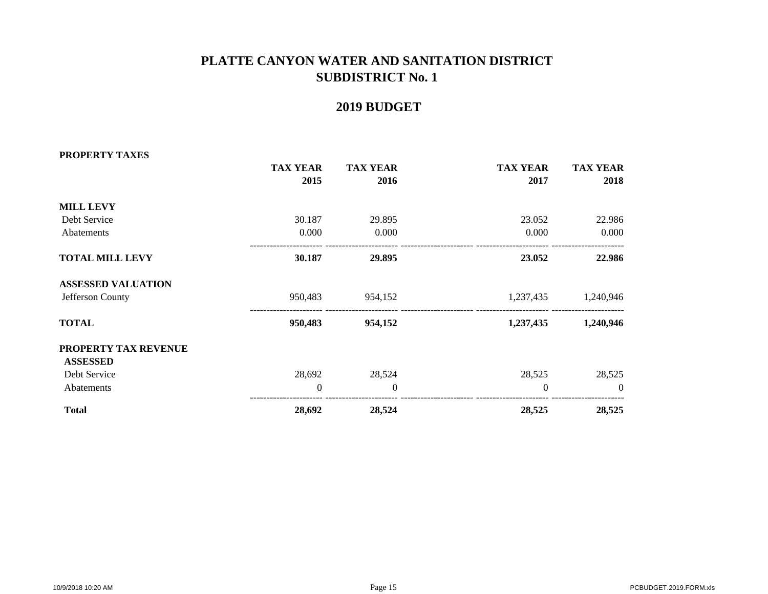| PROPERTY TAXES            |                 |                 |                 |                 |
|---------------------------|-----------------|-----------------|-----------------|-----------------|
|                           | <b>TAX YEAR</b> | <b>TAX YEAR</b> | <b>TAX YEAR</b> | <b>TAX YEAR</b> |
|                           | 2015            | 2016            | 2017            | 2018            |
| <b>MILL LEVY</b>          |                 |                 |                 |                 |
| Debt Service              | 30.187          | 29.895          | 23.052          | 22.986          |
| Abatements                | 0.000           | 0.000           | 0.000           | 0.000           |
| <b>TOTAL MILL LEVY</b>    | 30.187          | 29.895          | 23.052          | 22.986          |
| <b>ASSESSED VALUATION</b> |                 |                 |                 |                 |
| Jefferson County          | 950,483         | 954,152         | 1,237,435       | 1,240,946       |
| <b>TOTAL</b>              | 950,483         | 954,152         | 1,237,435       | 1,240,946       |
| PROPERTY TAX REVENUE      |                 |                 |                 |                 |
| <b>ASSESSED</b>           |                 |                 |                 |                 |
| Debt Service              | 28,692          | 28,524          | 28,525          | 28,525          |
| Abatements                | $\Omega$        | $\mathbf{0}$    | $\Omega$        | $\Omega$        |
| <b>Total</b>              | 28,692          | 28,524          | 28,525          | 28,525          |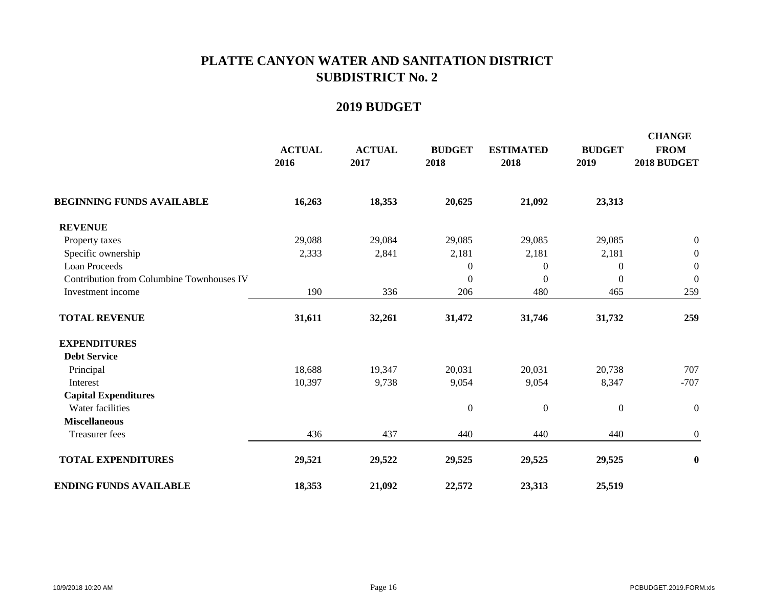|                                           | <b>ACTUAL</b><br>2016 | <b>ACTUAL</b><br>2017 | <b>BUDGET</b><br>2018 | <b>ESTIMATED</b><br>2018 | <b>BUDGET</b><br>2019 | <b>CHANGE</b><br><b>FROM</b><br>2018 BUDGET |
|-------------------------------------------|-----------------------|-----------------------|-----------------------|--------------------------|-----------------------|---------------------------------------------|
| <b>BEGINNING FUNDS AVAILABLE</b>          | 16,263                | 18,353                | 20,625                | 21,092                   | 23,313                |                                             |
| <b>REVENUE</b>                            |                       |                       |                       |                          |                       |                                             |
| Property taxes                            | 29,088                | 29,084                | 29,085                | 29,085                   | 29,085                | $\boldsymbol{0}$                            |
| Specific ownership                        | 2,333                 | 2,841                 | 2,181                 | 2,181                    | 2,181                 | $\boldsymbol{0}$                            |
| Loan Proceeds                             |                       |                       | $\mathbf{0}$          | $\boldsymbol{0}$         | $\boldsymbol{0}$      | $\mathbf{0}$                                |
| Contribution from Columbine Townhouses IV |                       |                       | $\boldsymbol{0}$      | $\mathbf{0}$             | $\mathbf{0}$          | $\mathbf{0}$                                |
| Investment income                         | 190                   | 336                   | 206                   | 480                      | 465                   | 259                                         |
| <b>TOTAL REVENUE</b>                      | 31,611                | 32,261                | 31,472                | 31,746                   | 31,732                | 259                                         |
| <b>EXPENDITURES</b>                       |                       |                       |                       |                          |                       |                                             |
| <b>Debt Service</b>                       |                       |                       |                       |                          |                       |                                             |
| Principal                                 | 18,688                | 19,347                | 20,031                | 20,031                   | 20,738                | 707                                         |
| Interest                                  | 10,397                | 9,738                 | 9,054                 | 9,054                    | 8,347                 | $-707$                                      |
| <b>Capital Expenditures</b>               |                       |                       |                       |                          |                       |                                             |
| Water facilities                          |                       |                       | $\boldsymbol{0}$      | $\boldsymbol{0}$         | $\boldsymbol{0}$      | $\boldsymbol{0}$                            |
| <b>Miscellaneous</b>                      |                       |                       |                       |                          |                       |                                             |
| Treasurer fees                            | 436                   | 437                   | 440                   | 440                      | 440                   | $\boldsymbol{0}$                            |
| <b>TOTAL EXPENDITURES</b>                 | 29,521                | 29,522                | 29,525                | 29,525                   | 29,525                | $\bf{0}$                                    |
| <b>ENDING FUNDS AVAILABLE</b>             | 18,353                | 21,092                | 22,572                | 23,313                   | 25,519                |                                             |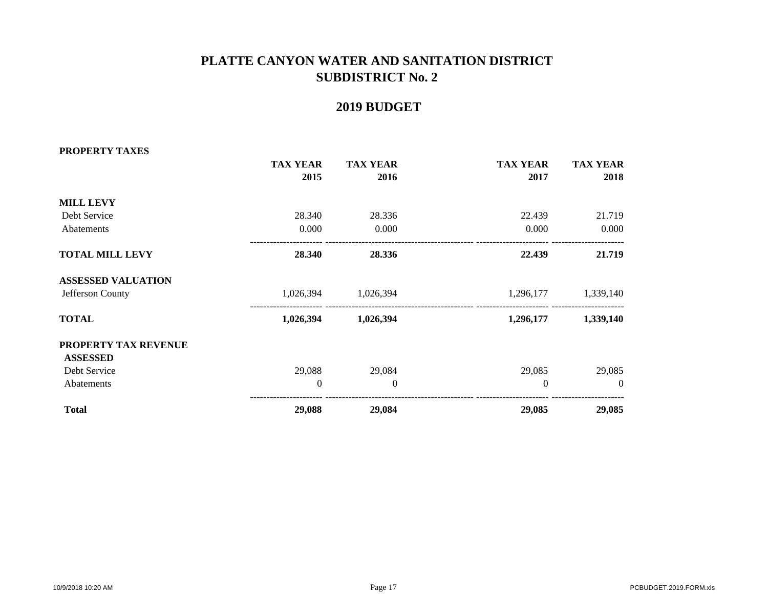| PROPERTY TAXES            |                  |                 |                 |                 |
|---------------------------|------------------|-----------------|-----------------|-----------------|
|                           | <b>TAX YEAR</b>  | <b>TAX YEAR</b> | <b>TAX YEAR</b> | <b>TAX YEAR</b> |
|                           | 2015             | 2016            | 2017            | 2018            |
| <b>MILL LEVY</b>          |                  |                 |                 |                 |
| Debt Service              | 28.340           | 28.336          | 22.439          | 21.719          |
| Abatements                | 0.000            | 0.000           | 0.000           | 0.000           |
| <b>TOTAL MILL LEVY</b>    | 28.340           | 28.336          | 22.439          | 21.719          |
| <b>ASSESSED VALUATION</b> |                  |                 |                 |                 |
| Jefferson County          | 1,026,394        | 1,026,394       | 1,296,177       | 1,339,140       |
| <b>TOTAL</b>              | 1,026,394        | 1,026,394       | 1,296,177       | 1,339,140       |
| PROPERTY TAX REVENUE      |                  |                 |                 |                 |
| <b>ASSESSED</b>           |                  |                 |                 |                 |
| Debt Service              | 29,088           | 29,084          | 29,085          | 29,085          |
| Abatements                | $\boldsymbol{0}$ | $\theta$        | $\mathbf{0}$    | $\theta$        |
| <b>Total</b>              | 29,088           | 29,084          | 29,085          | 29,085          |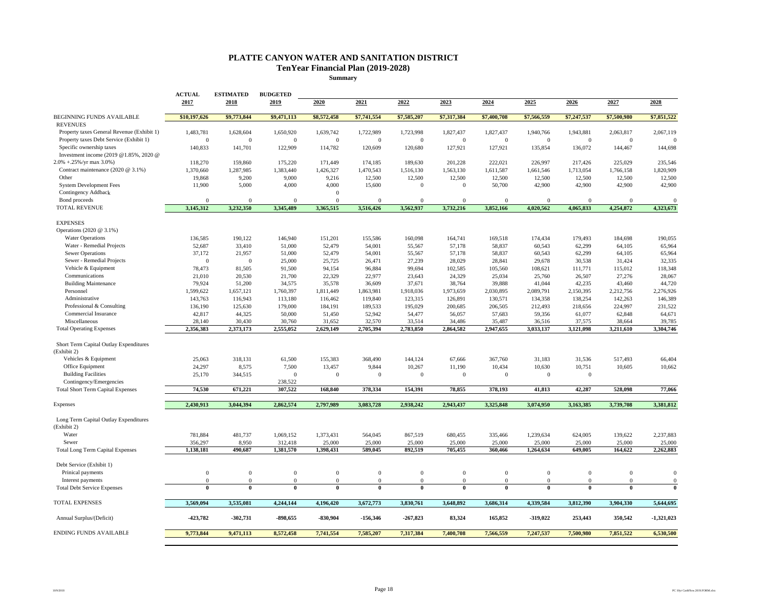#### **PLATTE CANYON WATER AND SANITATION DISTRICT TenYear Financial Plan (2019-2028)**

**Summary**

| <b>BEGINNING FUNDS AVAILABLE</b><br>\$9,773,844<br>\$9,471,113<br>\$7,741,554<br>\$7,317,384<br>\$10,197,626<br>\$8,572,458<br>\$7,585,207<br>\$7,400,708<br>\$7,566,559<br>\$7,247,537<br>\$7,500,980<br><b>REVENUES</b><br>Property taxes General Revenue (Exhibit 1)<br>1,483,781<br>1,628,604<br>1,650,920<br>1,639,742<br>1,722,989<br>1,723,998<br>1,827,437<br>1,827,437<br>1,940,766<br>1,943,881<br>2,063,817<br>Property taxes Debt Service (Exhibit 1)<br>$\mathbf{0}$<br>$\mathbf{0}$<br>$\mathbf{0}$<br>$\overline{0}$<br>$\theta$<br>$\overline{0}$<br>$\mathbf{0}$<br>$\mathbf{0}$<br>$\mathbf{0}$<br>$\mathbf{0}$<br>$\mathbf{0}$<br>Specific ownership taxes<br>140,833<br>141,701<br>122,909<br>114,782<br>120,609<br>120,680<br>127,921<br>127,921<br>135,854<br>136,072<br>144,467<br>Investment income (2019 @1.85%, 2020 @<br>$2.0\% + 0.25\%$ /yr max 3.0%)<br>118,270<br>159,860<br>175,220<br>171,449<br>174,185<br>189,630<br>201,228<br>222,021<br>226,997<br>217,426<br>225,029<br>Contract maintenance (2020 @ 3.1%)<br>1,426,327<br>1,370,660<br>1,287,985<br>1,383,440<br>1,470,543<br>1,516,130<br>1,563,130<br>1,611,587<br>1,661,546<br>1.713.054<br>1,766,158<br>12,500<br>Other<br>19,868<br>9,200<br>9,000<br>9,216<br>12,500<br>12,500<br>12,500<br>12,500<br>12,500<br>12,500<br><b>System Development Fees</b><br>11,900<br>5,000<br>4,000<br>4,000<br>15,600<br>$\mathbf{0}$<br>50,700<br>42,900<br>42,900<br>42,900<br>$\bf{0}$<br>Contingency Addback<br>$\mathbf{0}$<br>Bond proceeds<br>$\mathbf{0}$<br>$\Omega$<br>$\overline{0}$<br>$\Omega$<br>$\Omega$<br>$\Omega$<br>$\Omega$<br>$\mathbf{0}$<br>$\Omega$<br>$\Omega$<br>$\theta$<br>3,232,350<br>3,345,489<br>3,365,515<br>3,562,937<br>3,732,216<br>4,254,872<br>TOTAL REVENUE<br>3,145,312<br>3,516,426<br>3,852,166<br>4,020,562<br>4,065,833 | \$7,851,522<br>2,067,119<br>$\Omega$ |
|-----------------------------------------------------------------------------------------------------------------------------------------------------------------------------------------------------------------------------------------------------------------------------------------------------------------------------------------------------------------------------------------------------------------------------------------------------------------------------------------------------------------------------------------------------------------------------------------------------------------------------------------------------------------------------------------------------------------------------------------------------------------------------------------------------------------------------------------------------------------------------------------------------------------------------------------------------------------------------------------------------------------------------------------------------------------------------------------------------------------------------------------------------------------------------------------------------------------------------------------------------------------------------------------------------------------------------------------------------------------------------------------------------------------------------------------------------------------------------------------------------------------------------------------------------------------------------------------------------------------------------------------------------------------------------------------------------------------------------------------------------------------------------------------------------------------------------------------------------|--------------------------------------|
|                                                                                                                                                                                                                                                                                                                                                                                                                                                                                                                                                                                                                                                                                                                                                                                                                                                                                                                                                                                                                                                                                                                                                                                                                                                                                                                                                                                                                                                                                                                                                                                                                                                                                                                                                                                                                                                     |                                      |
|                                                                                                                                                                                                                                                                                                                                                                                                                                                                                                                                                                                                                                                                                                                                                                                                                                                                                                                                                                                                                                                                                                                                                                                                                                                                                                                                                                                                                                                                                                                                                                                                                                                                                                                                                                                                                                                     |                                      |
|                                                                                                                                                                                                                                                                                                                                                                                                                                                                                                                                                                                                                                                                                                                                                                                                                                                                                                                                                                                                                                                                                                                                                                                                                                                                                                                                                                                                                                                                                                                                                                                                                                                                                                                                                                                                                                                     | 144,698                              |
|                                                                                                                                                                                                                                                                                                                                                                                                                                                                                                                                                                                                                                                                                                                                                                                                                                                                                                                                                                                                                                                                                                                                                                                                                                                                                                                                                                                                                                                                                                                                                                                                                                                                                                                                                                                                                                                     | 235,546                              |
|                                                                                                                                                                                                                                                                                                                                                                                                                                                                                                                                                                                                                                                                                                                                                                                                                                                                                                                                                                                                                                                                                                                                                                                                                                                                                                                                                                                                                                                                                                                                                                                                                                                                                                                                                                                                                                                     | 1,820,909                            |
|                                                                                                                                                                                                                                                                                                                                                                                                                                                                                                                                                                                                                                                                                                                                                                                                                                                                                                                                                                                                                                                                                                                                                                                                                                                                                                                                                                                                                                                                                                                                                                                                                                                                                                                                                                                                                                                     | 12,500<br>42,900                     |
|                                                                                                                                                                                                                                                                                                                                                                                                                                                                                                                                                                                                                                                                                                                                                                                                                                                                                                                                                                                                                                                                                                                                                                                                                                                                                                                                                                                                                                                                                                                                                                                                                                                                                                                                                                                                                                                     |                                      |
|                                                                                                                                                                                                                                                                                                                                                                                                                                                                                                                                                                                                                                                                                                                                                                                                                                                                                                                                                                                                                                                                                                                                                                                                                                                                                                                                                                                                                                                                                                                                                                                                                                                                                                                                                                                                                                                     | $\Omega$                             |
|                                                                                                                                                                                                                                                                                                                                                                                                                                                                                                                                                                                                                                                                                                                                                                                                                                                                                                                                                                                                                                                                                                                                                                                                                                                                                                                                                                                                                                                                                                                                                                                                                                                                                                                                                                                                                                                     | 4,323,673                            |
| <b>EXPENSES</b>                                                                                                                                                                                                                                                                                                                                                                                                                                                                                                                                                                                                                                                                                                                                                                                                                                                                                                                                                                                                                                                                                                                                                                                                                                                                                                                                                                                                                                                                                                                                                                                                                                                                                                                                                                                                                                     |                                      |
| Operations (2020 @ 3.1%)                                                                                                                                                                                                                                                                                                                                                                                                                                                                                                                                                                                                                                                                                                                                                                                                                                                                                                                                                                                                                                                                                                                                                                                                                                                                                                                                                                                                                                                                                                                                                                                                                                                                                                                                                                                                                            |                                      |
| <b>Water Operations</b><br>136,585<br>190,122<br>146,940<br>151,201<br>155,586<br>160,098<br>164,741<br>169,518<br>174,434<br>179,493<br>184,698                                                                                                                                                                                                                                                                                                                                                                                                                                                                                                                                                                                                                                                                                                                                                                                                                                                                                                                                                                                                                                                                                                                                                                                                                                                                                                                                                                                                                                                                                                                                                                                                                                                                                                    | 190,055                              |
| Water - Remedial Projects<br>52,687<br>33,410<br>51,000<br>52,479<br>54,001<br>55,567<br>57,178<br>58,837<br>60,543<br>62,299<br>64,105<br><b>Sewer Operations</b><br>37.172<br>21,957<br>51,000<br>52,479<br>54,001<br>55,567<br>57,178<br>58,837<br>60,543<br>62,299<br>64,105                                                                                                                                                                                                                                                                                                                                                                                                                                                                                                                                                                                                                                                                                                                                                                                                                                                                                                                                                                                                                                                                                                                                                                                                                                                                                                                                                                                                                                                                                                                                                                    | 65,964<br>65,964                     |
| Sewer - Remedial Projects<br>$\Omega$<br>25,000<br>25,725<br>26,471<br>27,239<br>28,029<br>28,841<br>29,678<br>30,538<br>31,424<br>$\Omega$                                                                                                                                                                                                                                                                                                                                                                                                                                                                                                                                                                                                                                                                                                                                                                                                                                                                                                                                                                                                                                                                                                                                                                                                                                                                                                                                                                                                                                                                                                                                                                                                                                                                                                         | 32,335                               |
| Vehicle & Equipment<br>78,473<br>81,505<br>91,500<br>94,154<br>96,884<br>99,694<br>102,585<br>105,560<br>108,621<br>111,771<br>115,012                                                                                                                                                                                                                                                                                                                                                                                                                                                                                                                                                                                                                                                                                                                                                                                                                                                                                                                                                                                                                                                                                                                                                                                                                                                                                                                                                                                                                                                                                                                                                                                                                                                                                                              | 118,348                              |
| Communications<br>22,329<br>26,507<br>27,276<br>21,010<br>20,530<br>21,700<br>22,977<br>23,643<br>24,329<br>25,034<br>25,760                                                                                                                                                                                                                                                                                                                                                                                                                                                                                                                                                                                                                                                                                                                                                                                                                                                                                                                                                                                                                                                                                                                                                                                                                                                                                                                                                                                                                                                                                                                                                                                                                                                                                                                        | 28,067                               |
| <b>Building Maintenance</b><br>35,578<br>42,235<br>79,924<br>51,200<br>34,575<br>36,609<br>37,671<br>38,764<br>39,888<br>41,044<br>43,460                                                                                                                                                                                                                                                                                                                                                                                                                                                                                                                                                                                                                                                                                                                                                                                                                                                                                                                                                                                                                                                                                                                                                                                                                                                                                                                                                                                                                                                                                                                                                                                                                                                                                                           | 44,720                               |
| Personnel<br>1,599,622<br>1,657,121<br>1,760,397<br>1,811,449<br>1,918,036<br>2,030,895<br>2,089,791<br>2,150,395<br>2,212,756<br>1,863,981<br>1,973,659                                                                                                                                                                                                                                                                                                                                                                                                                                                                                                                                                                                                                                                                                                                                                                                                                                                                                                                                                                                                                                                                                                                                                                                                                                                                                                                                                                                                                                                                                                                                                                                                                                                                                            | 2,276,926                            |
| Administrative<br>116,943<br>116,462<br>123,315<br>130,571<br>138,254<br>143,763<br>113,180<br>119,840<br>126,891<br>134,358<br>142,263<br>Professional & Consulting<br>195,029<br>206,505<br>136,190<br>125,630<br>179,000<br>184,191<br>189,533<br>200,685<br>212,493<br>218,656<br>224,997                                                                                                                                                                                                                                                                                                                                                                                                                                                                                                                                                                                                                                                                                                                                                                                                                                                                                                                                                                                                                                                                                                                                                                                                                                                                                                                                                                                                                                                                                                                                                       | 146,389<br>231,522                   |
| Commercial Insurance<br>42,817<br>44,325<br>50,000<br>51,450<br>52,942<br>54,477<br>56,057<br>57,683<br>59,356<br>61,077<br>62,848                                                                                                                                                                                                                                                                                                                                                                                                                                                                                                                                                                                                                                                                                                                                                                                                                                                                                                                                                                                                                                                                                                                                                                                                                                                                                                                                                                                                                                                                                                                                                                                                                                                                                                                  | 64,671                               |
| Miscellaneous<br>28,140<br>30,430<br>30,760<br>31,652<br>32,570<br>33,514<br>34,486<br>35,487<br>36,516<br>37,575<br>38,664                                                                                                                                                                                                                                                                                                                                                                                                                                                                                                                                                                                                                                                                                                                                                                                                                                                                                                                                                                                                                                                                                                                                                                                                                                                                                                                                                                                                                                                                                                                                                                                                                                                                                                                         | 39,785                               |
| <b>Total Operating Expenses</b><br>2,356,383<br>2,373,173<br>2,555,052<br>2,629,149<br>2,705,394<br>2,783,850<br>2,864,582<br>2,947,655<br>3,033,137<br>3,121,098<br>3,211,610                                                                                                                                                                                                                                                                                                                                                                                                                                                                                                                                                                                                                                                                                                                                                                                                                                                                                                                                                                                                                                                                                                                                                                                                                                                                                                                                                                                                                                                                                                                                                                                                                                                                      | 3,304,746                            |
| Short Term Capital Outlay Expenditures<br>(Exhibit 2)                                                                                                                                                                                                                                                                                                                                                                                                                                                                                                                                                                                                                                                                                                                                                                                                                                                                                                                                                                                                                                                                                                                                                                                                                                                                                                                                                                                                                                                                                                                                                                                                                                                                                                                                                                                               |                                      |
| Vehicles & Equipment<br>25,063<br>318,131<br>61,500<br>155,383<br>368,490<br>144,124<br>67,666<br>367,760<br>31,183<br>31,536<br>517,493                                                                                                                                                                                                                                                                                                                                                                                                                                                                                                                                                                                                                                                                                                                                                                                                                                                                                                                                                                                                                                                                                                                                                                                                                                                                                                                                                                                                                                                                                                                                                                                                                                                                                                            | 66,404                               |
| Office Equipment<br>10,434<br>24,297<br>8,575<br>7,500<br>13,457<br>9,844<br>10,267<br>11,190<br>10,630<br>10,751<br>10,605                                                                                                                                                                                                                                                                                                                                                                                                                                                                                                                                                                                                                                                                                                                                                                                                                                                                                                                                                                                                                                                                                                                                                                                                                                                                                                                                                                                                                                                                                                                                                                                                                                                                                                                         | 10,662                               |
| <b>Building Facilities</b><br>25,170<br>344,515<br>$\Omega$<br>$\mathbf{0}$<br>$\mathbf{0}$<br>$\overline{0}$<br>$\mathbf{0}$<br>$\mathbf{0}$<br>$\mathbf{0}$<br>$\mathbf{0}$                                                                                                                                                                                                                                                                                                                                                                                                                                                                                                                                                                                                                                                                                                                                                                                                                                                                                                                                                                                                                                                                                                                                                                                                                                                                                                                                                                                                                                                                                                                                                                                                                                                                       |                                      |
| Contingency/Emergencies<br>238,522<br><b>Total Short Term Capital Expenses</b><br>74,530<br>671,221<br>307,522<br>168,840<br>378,334<br>154,391<br>78,855<br>378,193<br>41,813<br>42,287<br>528,098                                                                                                                                                                                                                                                                                                                                                                                                                                                                                                                                                                                                                                                                                                                                                                                                                                                                                                                                                                                                                                                                                                                                                                                                                                                                                                                                                                                                                                                                                                                                                                                                                                                 | 77,066                               |
|                                                                                                                                                                                                                                                                                                                                                                                                                                                                                                                                                                                                                                                                                                                                                                                                                                                                                                                                                                                                                                                                                                                                                                                                                                                                                                                                                                                                                                                                                                                                                                                                                                                                                                                                                                                                                                                     |                                      |
| 3,044,394<br>2,862,574<br>3,083,728<br>2,938,242<br>2,943,437<br>3,325,848<br>3,074,950<br>3,739,708<br>2,430,913<br>2,797,989<br>3,163,385<br>Expenses                                                                                                                                                                                                                                                                                                                                                                                                                                                                                                                                                                                                                                                                                                                                                                                                                                                                                                                                                                                                                                                                                                                                                                                                                                                                                                                                                                                                                                                                                                                                                                                                                                                                                             | 3,381,812                            |
| Long Term Capital Outlay Expenditures<br>(Exhibit 2)                                                                                                                                                                                                                                                                                                                                                                                                                                                                                                                                                                                                                                                                                                                                                                                                                                                                                                                                                                                                                                                                                                                                                                                                                                                                                                                                                                                                                                                                                                                                                                                                                                                                                                                                                                                                |                                      |
| Water<br>781,884<br>481,737<br>1,069,152<br>1,373,431<br>867,519<br>680,455<br>1,239,634<br>624,005<br>139,622<br>564,045<br>335,466<br>25,000<br>25,000<br>25,000<br>25,000<br>25,000<br>25,000<br>Sewer<br>356,297<br>8,950<br>312,418<br>25,000<br>25,000                                                                                                                                                                                                                                                                                                                                                                                                                                                                                                                                                                                                                                                                                                                                                                                                                                                                                                                                                                                                                                                                                                                                                                                                                                                                                                                                                                                                                                                                                                                                                                                        | 2,237,883<br>25,000                  |
| <b>Total Long Term Capital Expenses</b><br>1,138,181<br>490,687<br>1,381,570<br>1,398,431<br>589,045<br>892,519<br>705,455<br>360,466<br>1,264,634<br>649,005<br>164,622                                                                                                                                                                                                                                                                                                                                                                                                                                                                                                                                                                                                                                                                                                                                                                                                                                                                                                                                                                                                                                                                                                                                                                                                                                                                                                                                                                                                                                                                                                                                                                                                                                                                            | 2,262,883                            |
| Debt Service (Exhibit 1)                                                                                                                                                                                                                                                                                                                                                                                                                                                                                                                                                                                                                                                                                                                                                                                                                                                                                                                                                                                                                                                                                                                                                                                                                                                                                                                                                                                                                                                                                                                                                                                                                                                                                                                                                                                                                            |                                      |
| $\mathbf{0}$<br>$\mathbf{0}$<br>Prinical payments<br>$\mathbf{0}$<br>$\mathbf{0}$<br>$\mathbf{0}$<br>$\bf{0}$<br>$\bf{0}$<br>$\mathbf{0}$<br>$\overline{0}$<br>$\mathbf{0}$<br>$\mathbf{0}$                                                                                                                                                                                                                                                                                                                                                                                                                                                                                                                                                                                                                                                                                                                                                                                                                                                                                                                                                                                                                                                                                                                                                                                                                                                                                                                                                                                                                                                                                                                                                                                                                                                         | $\overline{0}$                       |
| $\mathbf{0}$<br>Interest payments<br>$\mathbf{0}$<br>$\mathbf{0}$<br>$\theta$<br>$\mathbf{0}$<br>$\mathbf{0}$<br>$\mathbf{0}$<br>$\theta$<br>$\mathbf{0}$<br>$\mathbf{0}$<br>$\mathbf{0}$                                                                                                                                                                                                                                                                                                                                                                                                                                                                                                                                                                                                                                                                                                                                                                                                                                                                                                                                                                                                                                                                                                                                                                                                                                                                                                                                                                                                                                                                                                                                                                                                                                                           | $\theta$                             |
| <b>Total Debt Service Expenses</b><br>$\bf{0}$<br>$\theta$<br>0<br>$\theta$<br>0<br>$\bf{0}$<br>$\mathbf{0}$<br>$\theta$<br>$\theta$<br>$\bf{0}$<br>$\theta$                                                                                                                                                                                                                                                                                                                                                                                                                                                                                                                                                                                                                                                                                                                                                                                                                                                                                                                                                                                                                                                                                                                                                                                                                                                                                                                                                                                                                                                                                                                                                                                                                                                                                        | $\theta$                             |
| 4,244,144<br><b>TOTAL EXPENSES</b><br>3,569,094<br>3,535,081<br>4,196,420<br>3,672,773<br>3,830,761<br>3,648,892<br>3,686,314<br>4,339,584<br>3,812,390<br>3,904,330                                                                                                                                                                                                                                                                                                                                                                                                                                                                                                                                                                                                                                                                                                                                                                                                                                                                                                                                                                                                                                                                                                                                                                                                                                                                                                                                                                                                                                                                                                                                                                                                                                                                                | 5,644,695                            |
| 83,324<br>-898,655<br>$-830,904$<br>$-267,823$<br>165,852<br>$-319,022$<br>253,443<br>350,542<br>Annual Surplus/(Deficit)<br>-423,782<br>$-302,731$<br>$-156,346$                                                                                                                                                                                                                                                                                                                                                                                                                                                                                                                                                                                                                                                                                                                                                                                                                                                                                                                                                                                                                                                                                                                                                                                                                                                                                                                                                                                                                                                                                                                                                                                                                                                                                   |                                      |
| 8,572,458<br>9,773,844<br>9,471,113<br>7,741,554<br>7,585,207<br>7,317,384<br>7,400,708<br>7,566,559<br>7,247,537<br>7,500,980<br>7,851,522<br>ENDING FUNDS AVAILABLE                                                                                                                                                                                                                                                                                                                                                                                                                                                                                                                                                                                                                                                                                                                                                                                                                                                                                                                                                                                                                                                                                                                                                                                                                                                                                                                                                                                                                                                                                                                                                                                                                                                                               | $-1,321,023$                         |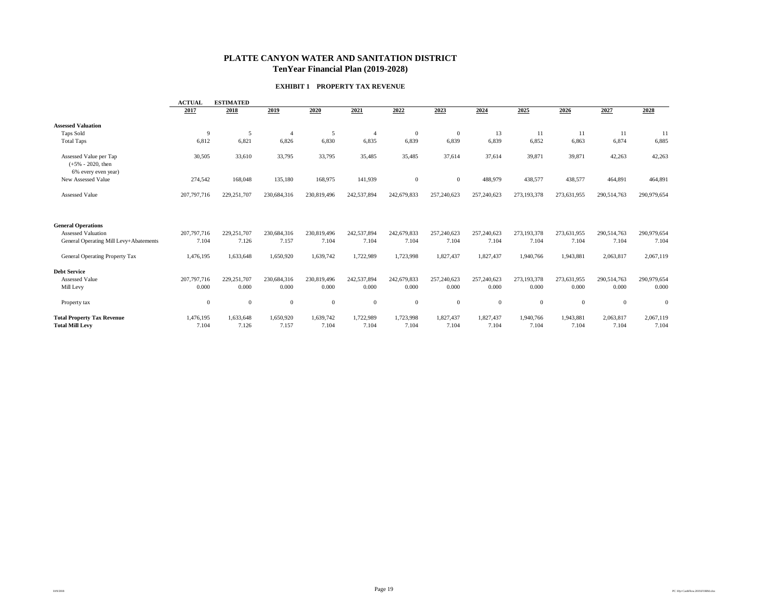#### **PLATTE CANYON WATER AND SANITATION DISTRICT TenYear Financial Plan (2019-2028)**

#### **EXHIBIT 1 PROPERTY TAX REVENUE**

|                                                                       | <b>ESTIMATED</b><br><b>ACTUAL</b> |                        |                      |                      |                      |                      |                      |                      |                      |                      |                      |                      |
|-----------------------------------------------------------------------|-----------------------------------|------------------------|----------------------|----------------------|----------------------|----------------------|----------------------|----------------------|----------------------|----------------------|----------------------|----------------------|
|                                                                       | 2017                              | 2018                   | 2019                 | 2020                 | 2021                 | 2022                 | 2023                 | 2024                 | 2025                 | 2026                 | 2027                 | 2028                 |
| <b>Assessed Valuation</b>                                             |                                   |                        |                      |                      |                      |                      |                      |                      |                      |                      |                      |                      |
| Taps Sold                                                             | 9                                 | 5                      |                      | 5                    |                      | $\Omega$             | $\overline{0}$       | 13                   | 11                   | 11                   | 11                   | 11                   |
| <b>Total Taps</b>                                                     | 6,812                             | 6,821                  | 6,826                | 6,830                | 6,835                | 6,839                | 6,839                | 6,839                | 6,852                | 6,863                | 6,874                | 6,885                |
| Assessed Value per Tap<br>$(+5\% - 2020,$ then<br>6% every even year) | 30,505                            | 33,610                 | 33,795               | 33,795               | 35,485               | 35,485               | 37,614               | 37,614               | 39,871               | 39,871               | 42,263               | 42,263               |
| New Assessed Value                                                    | 274,542                           | 168,048                | 135,180              | 168,975              | 141,939              | $\overline{0}$       | $\overline{0}$       | 488,979              | 438,577              | 438,577              | 464,891              | 464,891              |
| <b>Assessed Value</b>                                                 | 207,797,716                       | 229, 251, 707          | 230,684,316          | 230,819,496          | 242,537,894          | 242,679,833          | 257,240,623          | 257,240,623          | 273,193,378          | 273,631,955          | 290,514,763          | 290,979,654          |
| <b>General Operations</b>                                             |                                   |                        |                      |                      |                      |                      |                      |                      |                      |                      |                      |                      |
| <b>Assessed Valuation</b><br>General Operating Mill Levy+Abatements   | 207,797,716<br>7.104              | 229, 251, 707<br>7.126 | 230,684,316<br>7.157 | 230,819,496<br>7.104 | 242,537,894<br>7.104 | 242,679,833<br>7.104 | 257,240,623<br>7.104 | 257,240,623<br>7.104 | 273,193,378<br>7.104 | 273,631,955<br>7.104 | 290,514,763<br>7.104 | 290,979,654<br>7.104 |
| General Operating Property Tax                                        | 1,476,195                         | 1,633,648              | 1,650,920            | 1,639,742            | 1,722,989            | 1,723,998            | 1,827,437            | 1,827,437            | 1,940,766            | 1,943,881            | 2,063,817            | 2,067,119            |
| <b>Debt Service</b>                                                   |                                   |                        |                      |                      |                      |                      |                      |                      |                      |                      |                      |                      |
| Assessed Value                                                        | 207,797,716                       | 229, 251, 707          | 230,684,316          | 230,819,496          | 242,537,894          | 242,679,833          | 257,240,623          | 257,240,623          | 273,193,378          | 273,631,955          | 290,514,763          | 290,979,654          |
| Mill Levy                                                             | 0.000                             | 0.000                  | 0.000                | 0.000                | 0.000                | 0.000                | 0.000                | 0.000                | 0.000                | 0.000                | 0.000                | 0.000                |
| Property tax                                                          | $\mathbf{0}$                      | $\mathbf{0}$           | $\mathbf{0}$         | $\boldsymbol{0}$     | $\mathbf{0}$         | $\mathbf{0}$         | $\mathbf{0}$         | $\mathbf{0}$         | $\overline{0}$       | $\mathbf{0}$         | $\mathbf{0}$         | $\overline{0}$       |
| <b>Total Property Tax Revenue</b><br><b>Total Mill Levy</b>           | 1,476,195<br>7.104                | 1,633,648<br>7.126     | 1,650,920<br>7.157   | 1,639,742<br>7.104   | 1,722,989<br>7.104   | 1,723,998<br>7.104   | 1,827,437<br>7.104   | 1,827,437<br>7.104   | 1,940,766<br>7.104   | 1,943,881<br>7.104   | 2,063,817<br>7.104   | 2,067,119<br>7.104   |

10/9/2018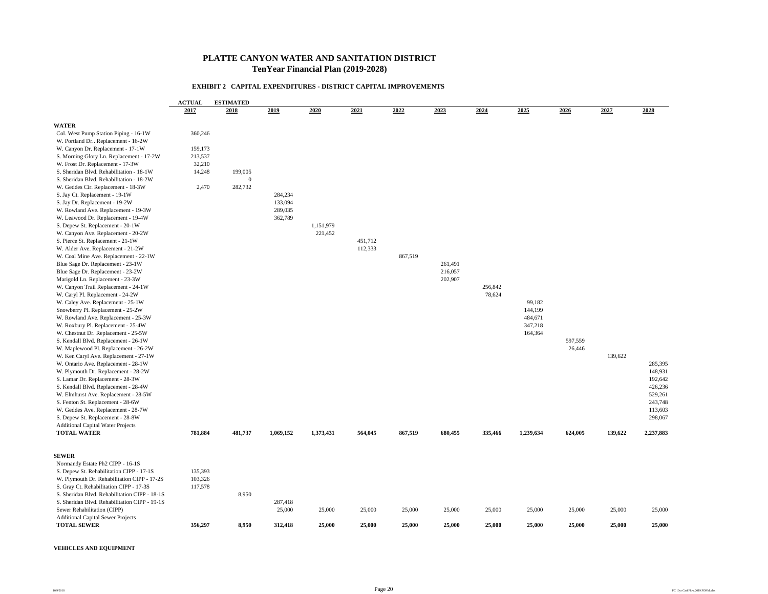#### **PLATTE CANYON WATER AND SANITATION DISTRICT TenYear Financial Plan (2019-2028)**

#### **EXHIBIT 2 CAPITAL EXPENDITURES - DISTRICT CAPITAL IMPROVEMENTS**

|                                               | <b>ACTUAL</b><br><b>ESTIMATED</b> |              |           |           |         |         |         |         |           |         |         |           |  |
|-----------------------------------------------|-----------------------------------|--------------|-----------|-----------|---------|---------|---------|---------|-----------|---------|---------|-----------|--|
|                                               | 2017                              | 2018         | 2019      | 2020      | 2021    | 2022    | 2023    | 2024    | 2025      | 2026    | 2027    | 2028      |  |
| <b>WATER</b>                                  |                                   |              |           |           |         |         |         |         |           |         |         |           |  |
| Col. West Pump Station Piping - 16-1W         | 360,246                           |              |           |           |         |         |         |         |           |         |         |           |  |
| W. Portland Dr., Replacement - 16-2W          |                                   |              |           |           |         |         |         |         |           |         |         |           |  |
| W. Canyon Dr. Replacement - 17-1W             | 159,173                           |              |           |           |         |         |         |         |           |         |         |           |  |
| S. Morning Glory Ln. Replacement - 17-2W      | 213,537                           |              |           |           |         |         |         |         |           |         |         |           |  |
| W. Frost Dr. Replacement - 17-3W              | 32,210                            |              |           |           |         |         |         |         |           |         |         |           |  |
| S. Sheridan Blvd. Rehabilitation - 18-1W      | 14,248                            | 199,005      |           |           |         |         |         |         |           |         |         |           |  |
| S. Sheridan Blvd. Rehabilitation - 18-2W      |                                   | $\mathbf{0}$ |           |           |         |         |         |         |           |         |         |           |  |
| W. Geddes Cir. Replacement - 18-3W            | 2,470                             | 282,732      |           |           |         |         |         |         |           |         |         |           |  |
| S. Jay Ct. Replacement - 19-1W                |                                   |              | 284,234   |           |         |         |         |         |           |         |         |           |  |
| S. Jay Dr. Replacement - 19-2W                |                                   |              | 133,094   |           |         |         |         |         |           |         |         |           |  |
| W. Rowland Ave. Replacement - 19-3W           |                                   |              | 289,035   |           |         |         |         |         |           |         |         |           |  |
| W. Leawood Dr. Replacement - 19-4W            |                                   |              | 362,789   |           |         |         |         |         |           |         |         |           |  |
| S. Depew St. Replacement - 20-1W              |                                   |              |           | 1,151,979 |         |         |         |         |           |         |         |           |  |
| W. Canyon Ave. Replacement - 20-2W            |                                   |              |           | 221,452   |         |         |         |         |           |         |         |           |  |
|                                               |                                   |              |           |           | 451,712 |         |         |         |           |         |         |           |  |
| S. Pierce St. Replacement - 21-1W             |                                   |              |           |           | 112,333 |         |         |         |           |         |         |           |  |
| W. Alder Ave. Replacement - 21-2W             |                                   |              |           |           |         |         |         |         |           |         |         |           |  |
| W. Coal Mine Ave. Replacement - 22-1W         |                                   |              |           |           |         | 867,519 |         |         |           |         |         |           |  |
| Blue Sage Dr. Replacement - 23-1W             |                                   |              |           |           |         |         | 261,491 |         |           |         |         |           |  |
| Blue Sage Dr. Replacement - 23-2W             |                                   |              |           |           |         |         | 216,057 |         |           |         |         |           |  |
| Marigold Ln. Replacement - 23-3W              |                                   |              |           |           |         |         | 202,907 |         |           |         |         |           |  |
| W. Canyon Trail Replacement - 24-1W           |                                   |              |           |           |         |         |         | 256,842 |           |         |         |           |  |
| W. Caryl Pl. Replacement - 24-2W              |                                   |              |           |           |         |         |         | 78,624  |           |         |         |           |  |
| W. Caley Ave. Replacement - 25-1W             |                                   |              |           |           |         |         |         |         | 99,182    |         |         |           |  |
| Snowberry Pl. Replacement - 25-2W             |                                   |              |           |           |         |         |         |         | 144,199   |         |         |           |  |
| W. Rowland Ave. Replacement - 25-3W           |                                   |              |           |           |         |         |         |         | 484,671   |         |         |           |  |
| W. Roxbury Pl. Replacement - 25-4W            |                                   |              |           |           |         |         |         |         | 347,218   |         |         |           |  |
| W. Chestnut Dr. Replacement - 25-5W           |                                   |              |           |           |         |         |         |         | 164,364   |         |         |           |  |
| S. Kendall Blvd. Replacement - 26-1W          |                                   |              |           |           |         |         |         |         |           | 597,559 |         |           |  |
| W. Maplewood Pl. Replacement - 26-2W          |                                   |              |           |           |         |         |         |         |           | 26,446  |         |           |  |
| W. Ken Caryl Ave. Replacement - 27-1W         |                                   |              |           |           |         |         |         |         |           |         | 139,622 |           |  |
| W. Ontario Ave. Replacement - 28-1W           |                                   |              |           |           |         |         |         |         |           |         |         | 285,395   |  |
| W. Plymouth Dr. Replacement - 28-2W           |                                   |              |           |           |         |         |         |         |           |         |         | 148,931   |  |
| S. Lamar Dr. Replacement - 28-3W              |                                   |              |           |           |         |         |         |         |           |         |         | 192,642   |  |
| S. Kendall Blvd. Replacement - 28-4W          |                                   |              |           |           |         |         |         |         |           |         |         | 426,236   |  |
| W. Elmhurst Ave. Replacement - 28-5W          |                                   |              |           |           |         |         |         |         |           |         |         | 529,261   |  |
| S. Fenton St. Replacement - 28-6W             |                                   |              |           |           |         |         |         |         |           |         |         | 243,748   |  |
| W. Geddes Ave. Replacement - 28-7W            |                                   |              |           |           |         |         |         |         |           |         |         | 113,603   |  |
| S. Depew St. Replacement - 28-8W              |                                   |              |           |           |         |         |         |         |           |         |         | 298,067   |  |
| <b>Additional Capital Water Projects</b>      |                                   |              |           |           |         |         |         |         |           |         |         |           |  |
| <b>TOTAL WATER</b>                            | 781,884                           | 481,737      | 1,069,152 | 1,373,431 | 564,045 | 867,519 | 680,455 | 335,466 | 1,239,634 | 624,005 | 139,622 | 2,237,883 |  |
| <b>SEWER</b>                                  |                                   |              |           |           |         |         |         |         |           |         |         |           |  |
| Normandy Estate Ph2 CIPP - 16-1S              |                                   |              |           |           |         |         |         |         |           |         |         |           |  |
| S. Depew St. Rehabilitation CIPP - 17-1S      | 135,393                           |              |           |           |         |         |         |         |           |         |         |           |  |
| W. Plymouth Dr. Rehabilitation CIPP - 17-2S   | 103,326                           |              |           |           |         |         |         |         |           |         |         |           |  |
| S. Gray Ct. Rehabilitation CIPP - 17-3S       | 117,578                           |              |           |           |         |         |         |         |           |         |         |           |  |
| S. Sheridan Blvd. Rehabilitation CIPP - 18-1S |                                   | 8,950        |           |           |         |         |         |         |           |         |         |           |  |
| S. Sheridan Blvd. Rehabilitation CIPP - 19-1S |                                   |              | 287,418   |           |         |         |         |         |           |         |         |           |  |
| Sewer Rehabilitation (CIPP)                   |                                   |              | 25,000    | 25,000    | 25,000  | 25,000  | 25,000  | 25,000  | 25,000    | 25,000  | 25,000  | 25,000    |  |
| <b>Additional Capital Sewer Projects</b>      |                                   |              |           |           |         |         |         |         |           |         |         |           |  |
| <b>TOTAL SEWER</b>                            | 356,297                           | 8,950        | 312,418   | 25,000    | 25,000  | 25,000  | 25,000  | 25,000  | 25,000    | 25,000  | 25,000  | 25,000    |  |
|                                               |                                   |              |           |           |         |         |         |         |           |         |         |           |  |

#### **VEHICLES AND EQUIPMENT**